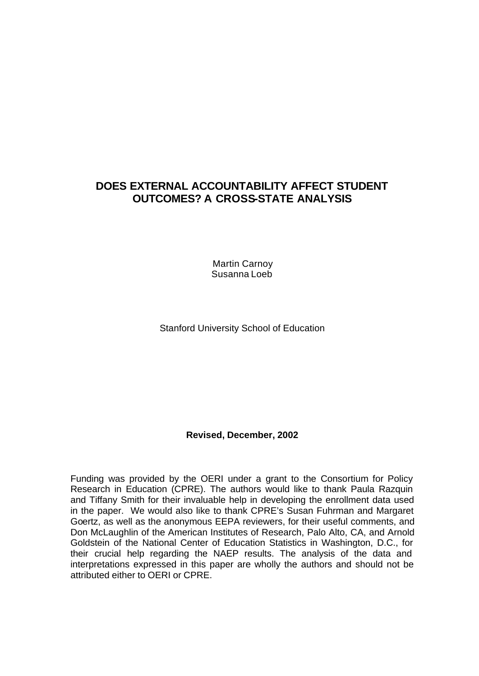# **DOES EXTERNAL ACCOUNTABILITY AFFECT STUDENT OUTCOMES? A CROSS-STATE ANALYSIS**

Martin Carnoy Susanna Loeb

Stanford University School of Education

**Revised, December, 2002**

Funding was provided by the OERI under a grant to the Consortium for Policy Research in Education (CPRE). The authors would like to thank Paula Razquin and Tiffany Smith for their invaluable help in developing the enrollment data used in the paper. We would also like to thank CPRE's Susan Fuhrman and Margaret Goertz, as well as the anonymous EEPA reviewers, for their useful comments, and Don McLaughlin of the American Institutes of Research, Palo Alto, CA, and Arnold Goldstein of the National Center of Education Statistics in Washington, D.C., for their crucial help regarding the NAEP results. The analysis of the data and interpretations expressed in this paper are wholly the authors and should not be attributed either to OERI or CPRE.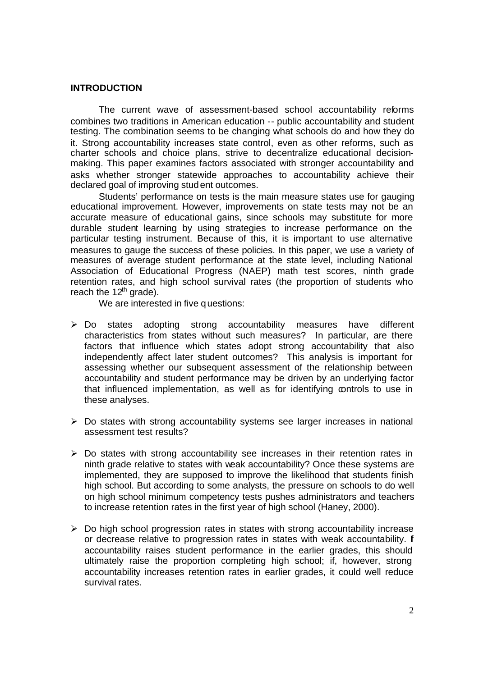### **INTRODUCTION**

The current wave of assessment-based school accountability reforms combines two traditions in American education -- public accountability and student testing. The combination seems to be changing what schools do and how they do it. Strong accountability increases state control, even as other reforms, such as charter schools and choice plans, strive to decentralize educational decisionmaking. This paper examines factors associated with stronger accountability and asks whether stronger statewide approaches to accountability achieve their declared goal of improving student outcomes.

Students' performance on tests is the main measure states use for gauging educational improvement. However, improvements on state tests may not be an accurate measure of educational gains, since schools may substitute for more durable student learning by using strategies to increase performance on the particular testing instrument. Because of this, it is important to use alternative measures to gauge the success of these policies. In this paper, we use a variety of measures of average student performance at the state level, including National Association of Educational Progress (NAEP) math test scores, ninth grade retention rates, and high school survival rates (the proportion of students who reach the  $12<sup>th</sup>$  grade).

We are interested in five questions:

- $\triangleright$  Do states adopting strong accountability measures have different characteristics from states without such measures? In particular, are there factors that influence which states adopt strong accountability that also independently affect later student outcomes? This analysis is important for assessing whether our subsequent assessment of the relationship between accountability and student performance may be driven by an underlying factor that influenced implementation, as well as for identifying controls to use in these analyses.
- $\triangleright$  Do states with strong accountability systems see larger increases in national assessment test results?
- $\triangleright$  Do states with strong accountability see increases in their retention rates in ninth grade relative to states with weak accountability? Once these systems are implemented, they are supposed to improve the likelihood that students finish high school. But according to some analysts, the pressure on schools to do well on high school minimum competency tests pushes administrators and teachers to increase retention rates in the first year of high school (Haney, 2000).
- $\triangleright$  Do high school progression rates in states with strong accountability increase or decrease relative to progression rates in states with weak accountability. **I** accountability raises student performance in the earlier grades, this should ultimately raise the proportion completing high school; if, however, strong accountability increases retention rates in earlier grades, it could well reduce survival rates.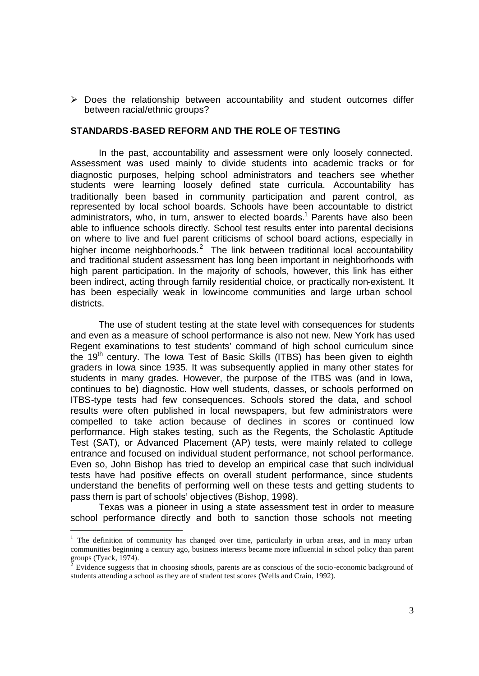$\triangleright$  Does the relationship between accountability and student outcomes differ between racial/ethnic groups?

#### **STANDARDS-BASED REFORM AND THE ROLE OF TESTING**

In the past, accountability and assessment were only loosely connected. Assessment was used mainly to divide students into academic tracks or for diagnostic purposes, helping school administrators and teachers see whether students were learning loosely defined state curricula. Accountability has traditionally been based in community participation and parent control, as represented by local school boards. Schools have been accountable to district administrators, who, in turn, answer to elected boards.<sup>1</sup> Parents have also been able to influence schools directly. School test results enter into parental decisions on where to live and fuel parent criticisms of school board actions, especially in higher income neighborhoods.<sup>2</sup> The link between traditional local accountability and traditional student assessment has long been important in neighborhoods with high parent participation. In the majority of schools, however, this link has either been indirect, acting through family residential choice, or practically non-existent. It has been especially weak in low-income communities and large urban school districts.

The use of student testing at the state level with consequences for students and even as a measure of school performance is also not new. New York has used Regent examinations to test students' command of high school curriculum since the 19<sup>th</sup> century. The Iowa Test of Basic Skills (ITBS) has been given to eighth graders in Iowa since 1935. It was subsequently applied in many other states for students in many grades. However, the purpose of the ITBS was (and in Iowa, continues to be) diagnostic. How well students, classes, or schools performed on ITBS-type tests had few consequences. Schools stored the data, and school results were often published in local newspapers, but few administrators were compelled to take action because of declines in scores or continued low performance. High stakes testing, such as the Regents, the Scholastic Aptitude Test (SAT), or Advanced Placement (AP) tests, were mainly related to college entrance and focused on individual student performance, not school performance. Even so, John Bishop has tried to develop an empirical case that such individual tests have had positive effects on overall student performance, since students understand the benefits of performing well on these tests and getting students to pass them is part of schools' objectives (Bishop, 1998).

Texas was a pioneer in using a state assessment test in order to measure school performance directly and both to sanction those schools not meeting

<sup>&</sup>lt;sup>1</sup> The definition of community has changed over time, particularly in urban areas, and in many urban communities beginning a century ago, business interests became more influential in school policy than parent groups (Tyack, 1974).

 $\overline{2}$  Evidence suggests that in choosing schools, parents are as conscious of the socio-economic background of students attending a school as they are of student test scores (Wells and Crain, 1992).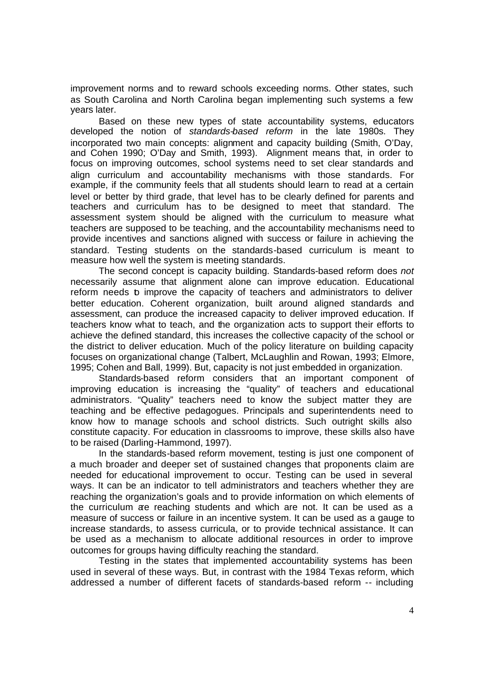improvement norms and to reward schools exceeding norms. Other states, such as South Carolina and North Carolina began implementing such systems a few years later.

Based on these new types of state accountability systems, educators developed the notion of *standards-based reform* in the late 1980s. They incorporated two main concepts: alignment and capacity building (Smith, O'Day, and Cohen 1990; O'Day and Smith, 1993). Alignment means that, in order to focus on improving outcomes, school systems need to set clear standards and align curriculum and accountability mechanisms with those standards. For example, if the community feels that all students should learn to read at a certain level or better by third grade, that level has to be clearly defined for parents and teachers and curriculum has to be designed to meet that standard. The assessment system should be aligned with the curriculum to measure what teachers are supposed to be teaching, and the accountability mechanisms need to provide incentives and sanctions aligned with success or failure in achieving the standard. Testing students on the standards-based curriculum is meant to measure how well the system is meeting standards.

The second concept is capacity building. Standards-based reform does *not*  necessarily assume that alignment alone can improve education. Educational reform needs to improve the capacity of teachers and administrators to deliver better education. Coherent organization, built around aligned standards and assessment, can produce the increased capacity to deliver improved education. If teachers know what to teach, and the organization acts to support their efforts to achieve the defined standard, this increases the collective capacity of the school or the district to deliver education. Much of the policy literature on building capacity focuses on organizational change (Talbert, McLaughlin and Rowan, 1993; Elmore, 1995; Cohen and Ball, 1999). But, capacity is not just embedded in organization.

Standards-based reform considers that an important component of improving education is increasing the "quality" of teachers and educational administrators. "Quality" teachers need to know the subject matter they are teaching and be effective pedagogues. Principals and superintendents need to know how to manage schools and school districts. Such outright skills also constitute capacity. For education in classrooms to improve, these skills also have to be raised (Darling-Hammond, 1997).

In the standards-based reform movement, testing is just one component of a much broader and deeper set of sustained changes that proponents claim are needed for educational improvement to occur. Testing can be used in several ways. It can be an indicator to tell administrators and teachers whether they are reaching the organization's goals and to provide information on which elements of the curriculum ae reaching students and which are not. It can be used as a measure of success or failure in an incentive system. It can be used as a gauge to increase standards, to assess curricula, or to provide technical assistance. It can be used as a mechanism to allocate additional resources in order to improve outcomes for groups having difficulty reaching the standard.

Testing in the states that implemented accountability systems has been used in several of these ways. But, in contrast with the 1984 Texas reform, which addressed a number of different facets of standards-based reform -- including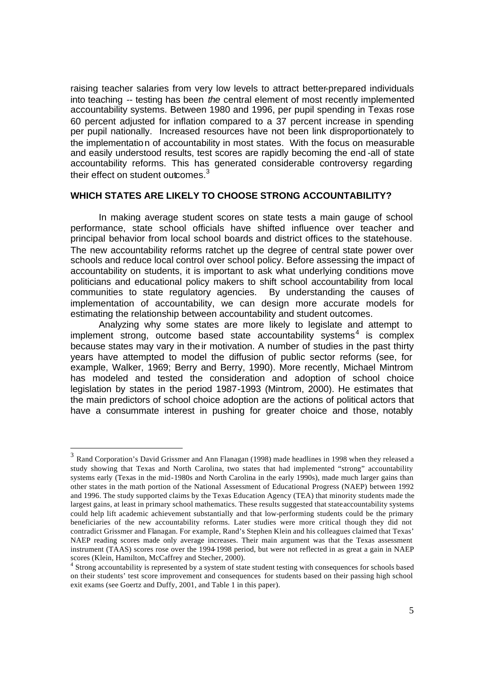raising teacher salaries from very low levels to attract better-prepared individuals into teaching -- testing has been *the* central element of most recently implemented accountability systems. Between 1980 and 1996, per pupil spending in Texas rose 60 percent adjusted for inflation compared to a 37 percent increase in spending per pupil nationally. Increased resources have not been link disproportionately to the implementation of accountability in most states. With the focus on measurable and easily understood results, test scores are rapidly becoming the end -all of state accountability reforms. This has generated considerable controversy regarding their effect on student outcomes.<sup>3</sup>

### **WHICH STATES ARE LIKELY TO CHOOSE STRONG ACCOUNTABILITY?**

In making average student scores on state tests a main gauge of school performance, state school officials have shifted influence over teacher and principal behavior from local school boards and district offices to the statehouse. The new accountability reforms ratchet up the degree of central state power over schools and reduce local control over school policy. Before assessing the impact of accountability on students, it is important to ask what underlying conditions move politicians and educational policy makers to shift school accountability from local communities to state regulatory agencies. By understanding the causes of implementation of accountability, we can design more accurate models for estimating the relationship between accountability and student outcomes.

Analyzing why some states are more likely to legislate and attempt to implement strong, outcome based state accountability systems<sup>4</sup> is complex because states may vary in their motivation. A number of studies in the past thirty years have attempted to model the diffusion of public sector reforms (see, for example, Walker, 1969; Berry and Berry, 1990). More recently, Michael Mintrom has modeled and tested the consideration and adoption of school choice legislation by states in the period 1987-1993 (Mintrom, 2000). He estimates that the main predictors of school choice adoption are the actions of political actors that have a consummate interest in pushing for greater choice and those, notably

<sup>&</sup>lt;sup>3</sup> Rand Corporation's David Grissmer and Ann Flanagan (1998) made headlines in 1998 when they released a study showing that Texas and North Carolina, two states that had implemented "strong" accountability systems early (Texas in the mid-1980s and North Carolina in the early 1990s), made much larger gains than other states in the math portion of the National Assessment of Educational Progress (NAEP) between 1992 and 1996. The study supported claims by the Texas Education Agency (TEA) that minority students made the largest gains, at least in primary school mathematics. These results suggested that state accountability systems could help lift academic achievement substantially and that low-performing students could be the primary beneficiaries of the new accountability reforms. Later studies were more critical though they did not contradict Grissmer and Flanagan. For example, Rand's Stephen Klein and his colleagues claimed that Texas' NAEP reading scores made only average increases. Their main argument was that the Texas assessment instrument (TAAS) scores rose over the 1994-1998 period, but were not reflected in as great a gain in NAEP scores (Klein, Hamilton, McCaffrey and Stecher, 2000).

<sup>&</sup>lt;sup>4</sup> Strong accountability is represented by a system of state student testing with consequences for schools based on their students' test score improvement and consequences for students based on their passing high school exit exams (see Goertz and Duffy, 2001, and Table 1 in this paper).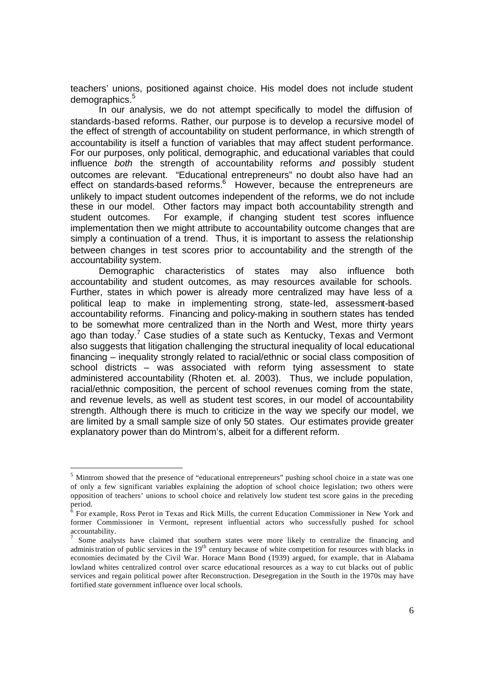teachers' unions, positioned against choice. His model does not include student demographics.<sup>5</sup>

In our analysis, we do not attempt specifically to model the diffusion of standards-based reforms. Rather, our purpose is to develop a recursive model of the effect of strength of accountability on student performance, in which strength of accountability is itself a function of variables that may affect student performance. For our purposes, only political, demographic, and educational variables that could influence *both* the strength of accountability reforms *and* possibly student outcomes are relevant. "Educational entrepreneurs" no doubt also have had an effect on standards-based reforms.<sup>6</sup> However, because the entrepreneurs are unlikely to impact student outcomes independent of the reforms, we do not include these in our model. Other factors may impact both accountability strength and student outcomes. For example, if changing student test scores influence implementation then we might attribute to accountability outcome changes that are simply a continuation of a trend. Thus, it is important to assess the relationship between changes in test scores prior to accountability and the strength of the accountability system.

Demographic characteristics of states may also influence both accountability and student outcomes, as may resources available for schools. Further, states in which power is already more centralized may have less of a political leap to make in implementing strong, state-led, assessment-based accountability reforms. Financing and policy-making in southern states has tended to be somewhat more centralized than in the North and West, more thirty years ago than today.<sup>7</sup> Case studies of a state such as Kentucky, Texas and Vermont also suggests that litigation challenging the structural inequality of local educational financing – inequality strongly related to racial/ethnic or social class composition of school districts – was associated with reform tying assessment to state administered accountability (Rhoten et. al. 2003). Thus, we include population, racial/ethnic composition, the percent of school revenues coming from the state, and revenue levels, as well as student test scores, in our model of accountability strength. Although there is much to criticize in the way we specify our model, we are limited by a small sample size of only 50 states. Our estimates provide greater explanatory power than do Mintrom's, albeit for a different reform.

<sup>5</sup> Mintrom showed that the presence of "educational entrepreneurs" pushing school choice in a state was one of only a few significant variables explaining the adoption of school choice legislation; two others were opposition of teachers' unions to school choice and relatively low student test score gains in the preceding period.

 $\overline{6}$  For example, Ross Perot in Texas and Rick Mills, the current Education Commissioner in New York and former Commissioner in Vermont, represent influential actors who successfully pushed for school accountability.

<sup>7</sup> Some analysts have claimed that southern states were more likely to centralize the financing and administration of public services in the  $19<sup>th</sup>$  century because of white competition for resources with blacks in economies decimated by the Civil War. Horace Mann Bond (1939) argued, for example, that in Alabama lowland whites centralized control over scarce educational resources as a way to cut blacks out of public services and regain political power after Reconstruction. Desegregation in the South in the 1970s may have fortified state government influence over local schools.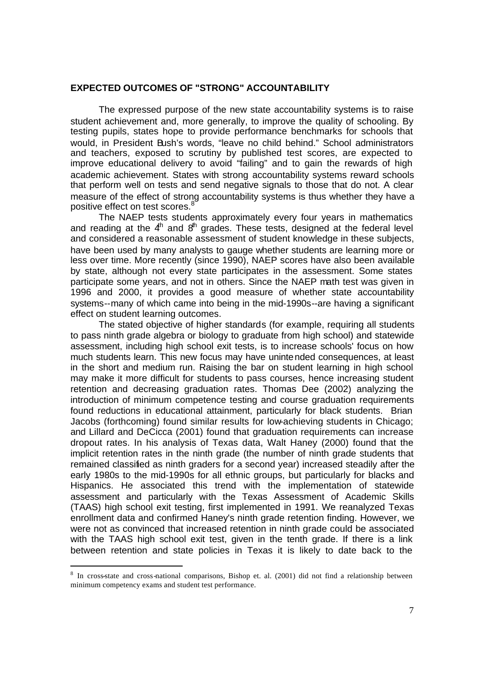### **EXPECTED OUTCOMES OF "STRONG" ACCOUNTABILITY**

The expressed purpose of the new state accountability systems is to raise student achievement and, more generally, to improve the quality of schooling. By testing pupils, states hope to provide performance benchmarks for schools that would, in President Bush's words, "leave no child behind." School administrators and teachers, exposed to scrutiny by published test scores, are expected to improve educational delivery to avoid "failing" and to gain the rewards of high academic achievement. States with strong accountability systems reward schools that perform well on tests and send negative signals to those that do not. A clear measure of the effect of strong accountability systems is thus whether they have a positive effect on test scores.

The NAEP tests students approximately every four years in mathematics and reading at the  $4<sup>h</sup>$  and  $8<sup>h</sup>$  grades. These tests, designed at the federal level and considered a reasonable assessment of student knowledge in these subjects, have been used by many analysts to gauge whether students are learning more or less over time. More recently (since 1990), NAEP scores have also been available by state, although not every state participates in the assessment. Some states participate some years, and not in others. Since the NAEP math test was given in 1996 and 2000, it provides a good measure of whether state accountability systems--many of which came into being in the mid-1990s--are having a significant effect on student learning outcomes.

The stated objective of higher standards (for example, requiring all students to pass ninth grade algebra or biology to graduate from high school) and statewide assessment, including high school exit tests, is to increase schools' focus on how much students learn. This new focus may have unintended consequences, at least in the short and medium run. Raising the bar on student learning in high school may make it more difficult for students to pass courses, hence increasing student retention and decreasing graduation rates. Thomas Dee (2002) analyzing the introduction of minimum competence testing and course graduation requirements found reductions in educational attainment, particularly for black students. Brian Jacobs (forthcoming) found similar results for low-achieving students in Chicago; and Lillard and DeCicca (2001) found that graduation requirements can increase dropout rates. In his analysis of Texas data, Walt Haney (2000) found that the implicit retention rates in the ninth grade (the number of ninth grade students that remained classified as ninth graders for a second year) increased steadily after the early 1980s to the mid-1990s for all ethnic groups, but particularly for blacks and Hispanics. He associated this trend with the implementation of statewide assessment and particularly with the Texas Assessment of Academic Skills (TAAS) high school exit testing, first implemented in 1991. We reanalyzed Texas enrollment data and confirmed Haney's ninth grade retention finding. However, we were not as convinced that increased retention in ninth grade could be associated with the TAAS high school exit test, given in the tenth grade. If there is a link between retention and state policies in Texas it is likely to date back to the

<sup>&</sup>lt;sup>8</sup> In cross-state and cross-national comparisons, Bishop et. al. (2001) did not find a relationship between minimum competency exams and student test performance.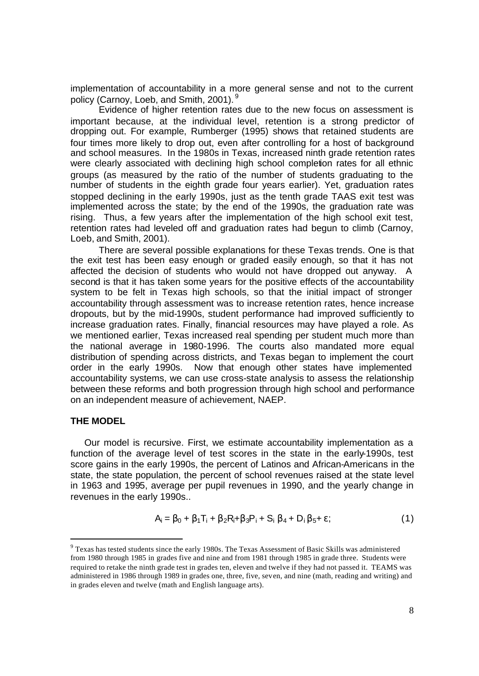implementation of accountability in a more general sense and not to the current policy (Carnoy, Loeb, and Smith, 2001).<sup>9</sup>

Evidence of higher retention rates due to the new focus on assessment is important because, at the individual level, retention is a strong predictor of dropping out. For example, Rumberger (1995) shows that retained students are four times more likely to drop out, even after controlling for a host of background and school measures. In the 1980s in Texas, increased ninth grade retention rates were clearly associated with declining high school completion rates for all ethnic groups (as measured by the ratio of the number of students graduating to the number of students in the eighth grade four years earlier). Yet, graduation rates stopped declining in the early 1990s, just as the tenth grade TAAS exit test was implemented across the state; by the end of the 1990s, the graduation rate was rising. Thus, a few years after the implementation of the high school exit test, retention rates had leveled off and graduation rates had begun to climb (Carnoy, Loeb, and Smith, 2001).

There are several possible explanations for these Texas trends. One is that the exit test has been easy enough or graded easily enough, so that it has not affected the decision of students who would not have dropped out anyway. A second is that it has taken some years for the positive effects of the accountability system to be felt in Texas high schools, so that the initial impact of stronger accountability through assessment was to increase retention rates, hence increase dropouts, but by the mid-1990s, student performance had improved sufficiently to increase graduation rates. Finally, financial resources may have played a role. As we mentioned earlier, Texas increased real spending per student much more than the national average in 1980-1996. The courts also mandated more equal distribution of spending across districts, and Texas began to implement the court order in the early 1990s. Now that enough other states have implemented accountability systems, we can use cross-state analysis to assess the relationship between these reforms and both progression through high school and performance on an independent measure of achievement, NAEP.

#### **THE MODEL**

Our model is recursive. First, we estimate accountability implementation as a function of the average level of test scores in the state in the early-1990s, test score gains in the early 1990s, the percent of Latinos and African-Americans in the state, the state population, the percent of school revenues raised at the state level in 1963 and 1995, average per pupil revenues in 1990, and the yearly change in revenues in the early 1990s..

$$
A_i = \beta_0 + \beta_1 T_i + \beta_2 R_i + \beta_3 P_i + S_i \beta_4 + D_i \beta_5 + \epsilon;
$$
 (1)

 $9$  Texas has tested students since the early 1980s. The Texas Assessment of Basic Skills was administered from 1980 through 1985 in grades five and nine and from 1981 through 1985 in grade three. Students were required to retake the ninth grade test in grades ten, eleven and twelve if they had not passed it. TEAMS was administered in 1986 through 1989 in grades one, three, five, seven, and nine (math, reading and writing) and in grades eleven and twelve (math and English language arts).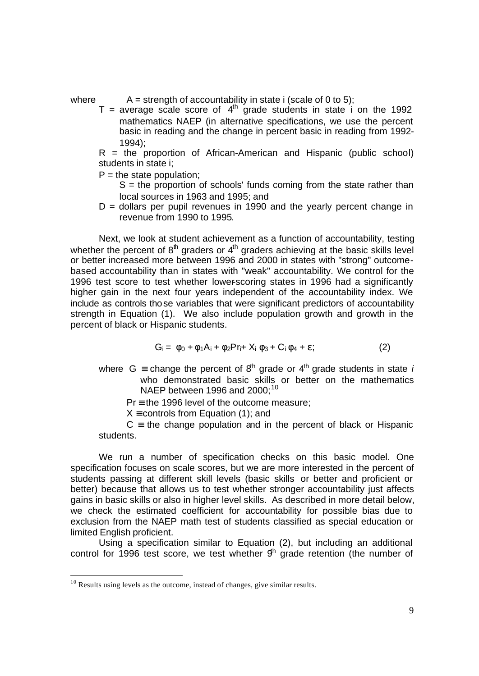where  $A =$  strength of accountability in state i (scale of 0 to 5);

 $T =$  average scale score of 4<sup>th</sup> grade students in state i on the 1992 mathematics NAEP (in alternative specifications, we use the percent basic in reading and the change in percent basic in reading from 1992- 1994);

R = the proportion of African-American and Hispanic (public school) students in state i;

 $P =$  the state population;

 $S =$  the proportion of schools' funds coming from the state rather than local sources in 1963 and 1995; and

 $D =$  dollars per pupil revenues in 1990 and the yearly percent change in revenue from 1990 to 1995.

Next, we look at student achievement as a function of accountability, testing whether the percent of  $8<sup>th</sup>$  graders or  $4<sup>th</sup>$  graders achieving at the basic skills level or better increased more between 1996 and 2000 in states with "strong" outcomebased accountability than in states with "weak" accountability. We control for the 1996 test score to test whether lower-scoring states in 1996 had a significantly higher gain in the next four years independent of the accountability index. We include as controls those variables that were significant predictors of accountability strength in Equation (1). We also include population growth and growth in the percent of black or Hispanic students.

$$
G_i = \phi_0 + \phi_1 A_i + \phi_2 Pr_i + X_i \phi_3 + C_i \phi_4 + \epsilon; \qquad (2)
$$

- where  $G =$  change the percent of  $8<sup>th</sup>$  grade or  $4<sup>th</sup>$  grade students in state *i* who demonstrated basic skills or better on the mathematics NAEP between 1996 and  $2000:^{10}$ 
	- $Pr \equiv$  the 1996 level of the outcome measure;

 $X \equiv$  controls from Equation (1); and

 $C \equiv$  the change population and in the percent of black or Hispanic students.

We run a number of specification checks on this basic model. One specification focuses on scale scores, but we are more interested in the percent of students passing at different skill levels (basic skills or better and proficient or better) because that allows us to test whether stronger accountability just affects gains in basic skills or also in higher level skills. As described in more detail below, we check the estimated coefficient for accountability for possible bias due to exclusion from the NAEP math test of students classified as special education or limited English proficient.

Using a specification similar to Equation (2), but including an additional control for 1996 test score, we test whether  $9<sup>h</sup>$  grade retention (the number of

<sup>&</sup>lt;sup>10</sup> Results using levels as the outcome, instead of changes, give similar results.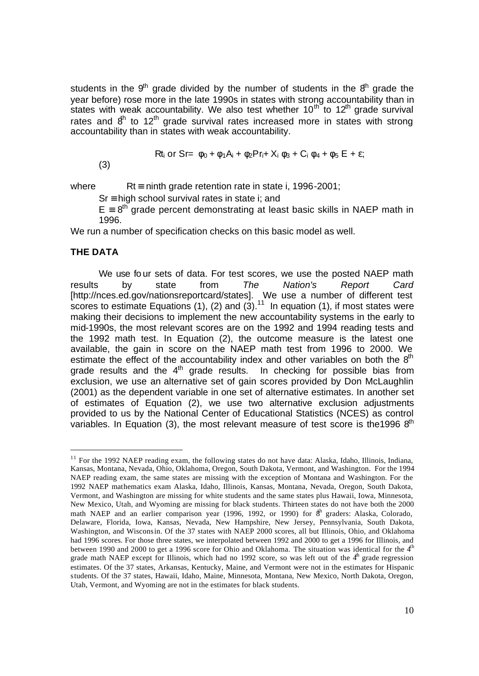students in the  $9<sup>th</sup>$  grade divided by the number of students in the  $8<sup>th</sup>$  grade the year before) rose more in the late 1990s in states with strong accountability than in states with weak accountability. We also test whether  $10<sup>th</sup>$  to  $12<sup>th</sup>$  grade survival rates and  $8<sup>h</sup>$  to 12<sup>th</sup> grade survival rates increased more in states with strong accountability than in states with weak accountability.

$$
Rt_i \text{ or } SF = \phi_0 + \phi_1 A_i + \phi_2 Pr_i + X_i \phi_3 + C_i \phi_4 + \phi_5 E + \varepsilon;
$$

(3)

where Rt  $\equiv$  ninth grade retention rate in state i, 1996-2001;

 $Sr = h$ igh school survival rates in state i: and

 $E = 8<sup>th</sup>$  grade percent demonstrating at least basic skills in NAEP math in 1996.

We run a number of specification checks on this basic model as well.

### **THE DATA**

We use fo ur sets of data. For test scores, we use the posted NAEP math results by state from *The Nation's Report Card* [http://nces.ed.gov/nationsreportcard/states]. We use a number of different test scores to estimate Equations (1), (2) and (3).<sup>11</sup> In equation (1), if most states were making their decisions to implement the new accountability systems in the early to mid-1990s, the most relevant scores are on the 1992 and 1994 reading tests and the 1992 math test. In Equation (2), the outcome measure is the latest one available, the gain in score on the NAEP math test from 1996 to 2000. We estimate the effect of the accountability index and other variables on both the  $8<sup>th</sup>$ grade results and the 4<sup>th</sup> grade results. In checking for possible bias from exclusion, we use an alternative set of gain scores provided by Don McLaughlin (2001) as the dependent variable in one set of alternative estimates. In another set of estimates of Equation (2), we use two alternative exclusion adjustments provided to us by the National Center of Educational Statistics (NCES) as control variables. In Equation (3), the most relevant measure of test score is the 1996  $8<sup>th</sup>$ 

<sup>&</sup>lt;sup>11</sup> For the 1992 NAEP reading exam, the following states do not have data: Alaska, Idaho, Illinois, Indiana, Kansas, Montana, Nevada, Ohio, Oklahoma, Oregon, South Dakota, Vermont, and Washington. For the 1994 NAEP reading exam, the same states are missing with the exception of Montana and Washington. For the 1992 NAEP mathematics exam Alaska, Idaho, Illinois, Kansas, Montana, Nevada, Oregon, South Dakota, Vermont, and Washington are missing for white students and the same states plus Hawaii, Iowa, Minnesota, New Mexico, Utah, and Wyoming are missing for black students. Thirteen states do not have both the 2000 math NAEP and an earlier comparison year (1996, 1992, or 1990) for  $\hat{\delta}^h$  graders: Alaska, Colorado, Delaware, Florida, Iowa, Kansas, Nevada, New Hampshire, New Jersey, Pennsylvania, South Dakota, Washington, and Wisconsin. Of the 37 states with NAEP 2000 scores, all but Illinois, Ohio, and Oklahoma had 1996 scores. For those three states, we interpolated between 1992 and 2000 to get a 1996 for Illinois, and between 1990 and 2000 to get a 1996 score for Ohio and Oklahoma. The situation was identical for the  $4<sup>th</sup>$ grade math NAEP except for Illinois, which had no 1992 score, so was left out of the  $4<sup>th</sup>$  grade regression estimates. Of the 37 states, Arkansas, Kentucky, Maine, and Vermont were not in the estimates for Hispanic students. Of the 37 states, Hawaii, Idaho, Maine, Minnesota, Montana, New Mexico, North Dakota, Oregon, Utah, Vermont, and Wyoming are not in the estimates for black students.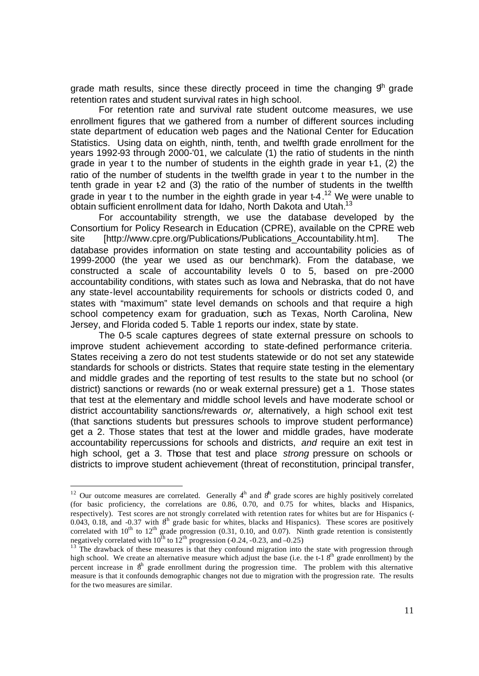grade math results, since these directly proceed in time the changing  $9<sup>h</sup>$  grade retention rates and student survival rates in high school.

For retention rate and survival rate student outcome measures, we use enrollment figures that we gathered from a number of different sources including state department of education web pages and the National Center for Education Statistics. Using data on eighth, ninth, tenth, and twelfth grade enrollment for the years 1992-93 through 2000-'01, we calculate (1) the ratio of students in the ninth grade in year t to the number of students in the eighth grade in year t-1, (2) the ratio of the number of students in the twelfth grade in year t to the number in the tenth grade in year t-2 and (3) the ratio of the number of students in the twelfth grade in year t to the number in the eighth grade in year  $t$ -4.<sup>12</sup> We were unable to obtain sufficient enrollment data for Idaho, North Dakota and Utah.<sup>13</sup>

For accountability strength, we use the database developed by the Consortium for Policy Research in Education (CPRE), available on the CPRE web site [http://www.cpre.org/Publications/Publications\_Accountability.htm]. The database provides information on state testing and accountability policies as of 1999-2000 (the year we used as our benchmark). From the database, we constructed a scale of accountability levels 0 to 5, based on pre-2000 accountability conditions, with states such as Iowa and Nebraska, that do not have any state-level accountability requirements for schools or districts coded 0, and states with "maximum" state level demands on schools and that require a high school competency exam for graduation, such as Texas, North Carolina, New Jersey, and Florida coded 5. Table 1 reports our index, state by state.

The 0-5 scale captures degrees of state external pressure on schools to improve student achievement according to state-defined performance criteria. States receiving a zero do not test students statewide or do not set any statewide standards for schools or districts. States that require state testing in the elementary and middle grades and the reporting of test results to the state but no school (or district) sanctions or rewards (no or weak external pressure) get a 1. Those states that test at the elementary and middle school levels and have moderate school or district accountability sanctions/rewards *or,* alternatively, a high school exit test (that sanctions students but pressures schools to improve student performance) get a 2. Those states that test at the lower and middle grades, have moderate accountability repercussions for schools and districts, *and* require an exit test in high school, get a 3. Those that test and place *strong* pressure on schools or districts to improve student achievement (threat of reconstitution, principal transfer,

<sup>&</sup>lt;sup>12</sup> Our outcome measures are correlated. Generally  $4<sup>h</sup>$  and  $8<sup>h</sup>$  grade scores are highly positively correlated (for basic proficiency, the correlations are 0.86, 0.70, and 0.75 for whites, blacks and Hispanics, respectively). Test scores are not strongly correlated with retention rates for whites but are for Hispanics (-  $0.043$ ,  $0.18$ , and  $-0.37$  with  $8<sup>h</sup>$  grade basic for whites, blacks and Hispanics). These scores are positively correlated with  $10^{th}$  to  $12^{th}$  grade progression (0.31, 0.10, and 0.07). Ninth grade retention is consistently negatively correlated with  $10^{th}$  to  $12^{th}$  progression (-0.24, -0.23, and -0.25)

 $13$  The drawback of these measures is that they confound migration into the state with progression through high school. We create an alternative measure which adjust the base (i.e. the  $t-1$   $8<sup>th</sup>$  grade enrollment) by the percent increase in  $\dot{8}^h$  grade enrollment during the progression time. The problem with this alternative measure is that it confounds demographic changes not due to migration with the progression rate. The results for the two measures are similar.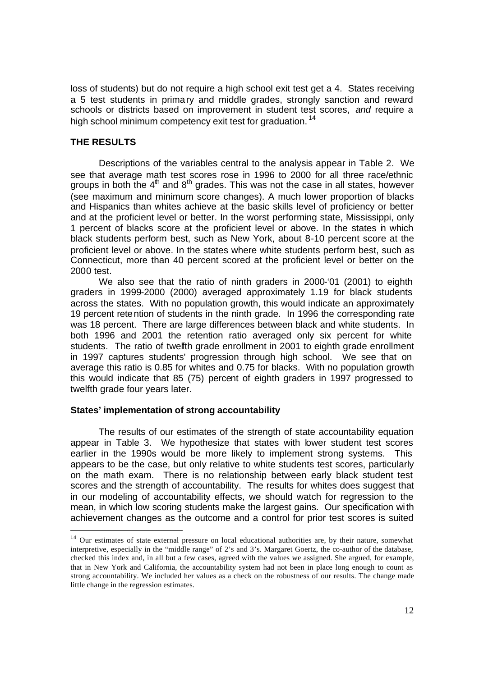loss of students) but do not require a high school exit test get a 4. States receiving a 5 test students in primary and middle grades, strongly sanction and reward schools or districts based on improvement in student test scores, *and* require a high school minimum competency exit test for graduation.<sup>14</sup>

### **THE RESULTS**

Descriptions of the variables central to the analysis appear in Table 2. We see that average math test scores rose in 1996 to 2000 for all three race/ethnic groups in both the 4<sup>th</sup> and 8<sup>th</sup> grades. This was not the case in all states, however (see maximum and minimum score changes). A much lower proportion of blacks and Hispanics than whites achieve at the basic skills level of proficiency or better and at the proficient level or better. In the worst performing state, Mississippi, only 1 percent of blacks score at the proficient level or above. In the states in which black students perform best, such as New York, about 8-10 percent score at the proficient level or above. In the states where white students perform best, such as Connecticut, more than 40 percent scored at the proficient level or better on the 2000 test.

We also see that the ratio of ninth graders in 2000-'01 (2001) to eighth graders in 1999-2000 (2000) averaged approximately 1.19 for black students across the states. With no population growth, this would indicate an approximately 19 percent retention of students in the ninth grade. In 1996 the corresponding rate was 18 percent. There are large differences between black and white students. In both 1996 and 2001 the retention ratio averaged only six percent for white students. The ratio of twelfth grade enrollment in 2001 to eighth grade enrollment in 1997 captures students' progression through high school. We see that on average this ratio is 0.85 for whites and 0.75 for blacks. With no population growth this would indicate that 85 (75) percent of eighth graders in 1997 progressed to twelfth grade four years later.

### **States' implementation of strong accountability**

The results of our estimates of the strength of state accountability equation appear in Table 3. We hypothesize that states with lower student test scores earlier in the 1990s would be more likely to implement strong systems. This appears to be the case, but only relative to white students test scores, particularly on the math exam. There is no relationship between early black student test scores and the strength of accountability. The results for whites does suggest that in our modeling of accountability effects, we should watch for regression to the mean, in which low scoring students make the largest gains. Our specification with achievement changes as the outcome and a control for prior test scores is suited

<sup>&</sup>lt;sup>14</sup> Our estimates of state external pressure on local educational authorities are, by their nature, somewhat interpretive, especially in the "middle range" of 2's and 3's. Margaret Goertz, the co-author of the database, checked this index and, in all but a few cases, agreed with the values we assigned. She argued, for example, that in New York and California, the accountability system had not been in place long enough to count as strong accountability. We included her values as a check on the robustness of our results. The change made little change in the regression estimates.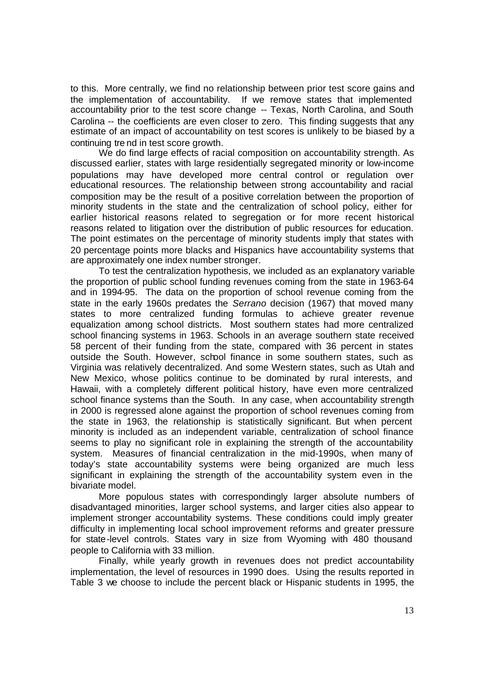to this. More centrally, we find no relationship between prior test score gains and the implementation of accountability. If we remove states that implemented accountability prior to the test score change -- Texas, North Carolina, and South Carolina -- the coefficients are even closer to zero. This finding suggests that any estimate of an impact of accountability on test scores is unlikely to be biased by a continuing tre nd in test score growth.

We do find large effects of racial composition on accountability strength. As discussed earlier, states with large residentially segregated minority or low-income populations may have developed more central control or regulation over educational resources. The relationship between strong accountability and racial composition may be the result of a positive correlation between the proportion of minority students in the state and the centralization of school policy, either for earlier historical reasons related to segregation or for more recent historical reasons related to litigation over the distribution of public resources for education. The point estimates on the percentage of minority students imply that states with 20 percentage points more blacks and Hispanics have accountability systems that are approximately one index number stronger.

To test the centralization hypothesis, we included as an explanatory variable the proportion of public school funding revenues coming from the state in 1963-64 and in 1994-95. The data on the proportion of school revenue coming from the state in the early 1960s predates the *Serrano* decision (1967) that moved many states to more centralized funding formulas to achieve greater revenue equalization among school districts. Most southern states had more centralized school financing systems in 1963. Schools in an average southern state received 58 percent of their funding from the state, compared with 36 percent in states outside the South. However, school finance in some southern states, such as Virginia was relatively decentralized. And some Western states, such as Utah and New Mexico, whose politics continue to be dominated by rural interests, and Hawaii, with a completely different political history, have even more centralized school finance systems than the South. In any case, when accountability strength in 2000 is regressed alone against the proportion of school revenues coming from the state in 1963, the relationship is statistically significant. But when percent minority is included as an independent variable, centralization of school finance seems to play no significant role in explaining the strength of the accountability system. Measures of financial centralization in the mid-1990s, when many of today's state accountability systems were being organized are much less significant in explaining the strength of the accountability system even in the bivariate model.

More populous states with correspondingly larger absolute numbers of disadvantaged minorities, larger school systems, and larger cities also appear to implement stronger accountability systems. These conditions could imply greater difficulty in implementing local school improvement reforms and greater pressure for state-level controls. States vary in size from Wyoming with 480 thousand people to California with 33 million.

Finally, while yearly growth in revenues does not predict accountability implementation, the level of resources in 1990 does. Using the results reported in Table 3 we choose to include the percent black or Hispanic students in 1995, the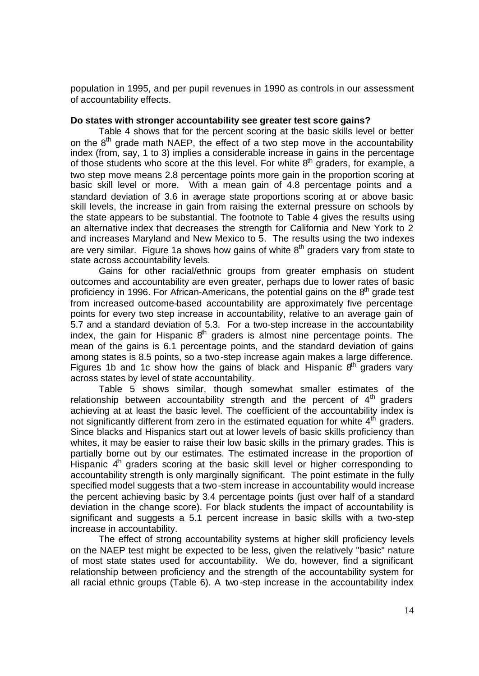population in 1995, and per pupil revenues in 1990 as controls in our assessment of accountability effects.

#### **Do states with stronger accountability see greater test score gains?**

Table 4 shows that for the percent scoring at the basic skills level or better on the  $8<sup>th</sup>$  grade math NAEP, the effect of a two step move in the accountability index (from, say, 1 to 3) implies a considerable increase in gains in the percentage of those students who score at the this level. For white  $8<sup>th</sup>$  graders, for example, a two step move means 2.8 percentage points more gain in the proportion scoring at basic skill level or more. With a mean gain of 4.8 percentage points and a standard deviation of 3.6 in average state proportions scoring at or above basic skill levels, the increase in gain from raising the external pressure on schools by the state appears to be substantial. The footnote to Table 4 gives the results using an alternative index that decreases the strength for California and New York to 2 and increases Maryland and New Mexico to 5. The results using the two indexes are very similar. Figure 1a shows how gains of white  $8<sup>th</sup>$  graders vary from state to state across accountability levels.

Gains for other racial/ethnic groups from greater emphasis on student outcomes and accountability are even greater, perhaps due to lower rates of basic proficiency in 1996. For African-Americans, the potential gains on the 8<sup>th</sup> grade test from increased outcome-based accountability are approximately five percentage points for every two step increase in accountability, relative to an average gain of 5.7 and a standard deviation of 5.3. For a two-step increase in the accountability index, the gain for Hispanic  $8<sup>th</sup>$  graders is almost nine percentage points. The mean of the gains is 6.1 percentage points, and the standard deviation of gains among states is 8.5 points, so a two-step increase again makes a large difference. Figures 1b and 1c show how the gains of black and Hispanic  $8<sup>th</sup>$  graders vary across states by level of state accountability.

Table 5 shows similar, though somewhat smaller estimates of the relationship between accountability strength and the percent of  $4<sup>th</sup>$  graders achieving at at least the basic level. The coefficient of the accountability index is not significantly different from zero in the estimated equation for white  $4<sup>th</sup>$  graders. Since blacks and Hispanics start out at lower levels of basic skills proficiency than whites, it may be easier to raise their low basic skills in the primary grades. This is partially borne out by our estimates. The estimated increase in the proportion of Hispanic  $4<sup>th</sup>$  graders scoring at the basic skill level or higher corresponding to accountability strength is only marginally significant. The point estimate in the fully specified model suggests that a two-stem increase in accountability would increase the percent achieving basic by 3.4 percentage points (just over half of a standard deviation in the change score). For black students the impact of accountability is significant and suggests a 5.1 percent increase in basic skills with a two-step increase in accountability.

The effect of strong accountability systems at higher skill proficiency levels on the NAEP test might be expected to be less, given the relatively "basic" nature of most state states used for accountability. We do, however, find a significant relationship between proficiency and the strength of the accountability system for all racial ethnic groups (Table 6). A two-step increase in the accountability index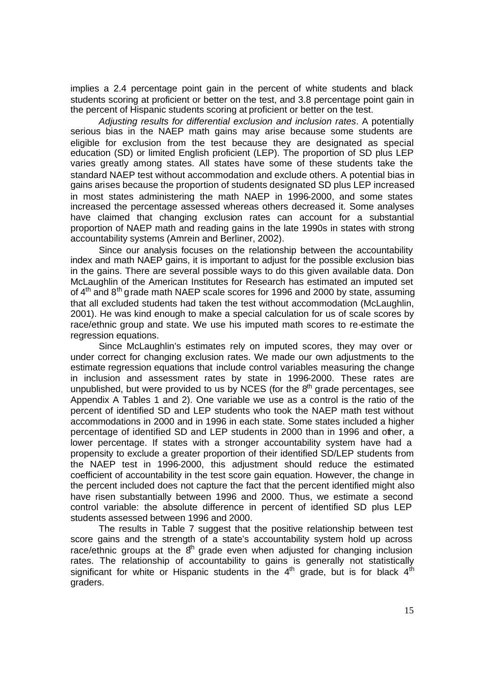implies a 2.4 percentage point gain in the percent of white students and black students scoring at proficient or better on the test, and 3.8 percentage point gain in the percent of Hispanic students scoring at proficient or better on the test.

*Adjusting results for differential exclusion and inclusion rates*. A potentially serious bias in the NAEP math gains may arise because some students are eligible for exclusion from the test because they are designated as special education (SD) or limited English proficient (LEP). The proportion of SD plus LEP varies greatly among states. All states have some of these students take the standard NAEP test without accommodation and exclude others. A potential bias in gains arises because the proportion of students designated SD plus LEP increased in most states administering the math NAEP in 1996-2000, and some states increased the percentage assessed whereas others decreased it. Some analyses have claimed that changing exclusion rates can account for a substantial proportion of NAEP math and reading gains in the late 1990s in states with strong accountability systems (Amrein and Berliner, 2002).

Since our analysis focuses on the relationship between the accountability index and math NAEP gains, it is important to adjust for the possible exclusion bias in the gains. There are several possible ways to do this given available data. Don McLaughlin of the American Institutes for Research has estimated an imputed set of 4<sup>th</sup> and 8<sup>th</sup> grade math NAEP scale scores for 1996 and 2000 by state, assuming that all excluded students had taken the test without accommodation (McLaughlin, 2001). He was kind enough to make a special calculation for us of scale scores by race/ethnic group and state. We use his imputed math scores to re-estimate the regression equations.

Since McLaughlin's estimates rely on imputed scores, they may over or under correct for changing exclusion rates. We made our own adjustments to the estimate regression equations that include control variables measuring the change in inclusion and assessment rates by state in 1996-2000. These rates are unpublished, but were provided to us by NCES (for the  $8<sup>th</sup>$  grade percentages, see Appendix A Tables 1 and 2). One variable we use as a control is the ratio of the percent of identified SD and LEP students who took the NAEP math test without accommodations in 2000 and in 1996 in each state. Some states included a higher percentage of identified SD and LEP students in 2000 than in 1996 and other, a lower percentage. If states with a stronger accountability system have had a propensity to exclude a greater proportion of their identified SD/LEP students from the NAEP test in 1996-2000, this adjustment should reduce the estimated coefficient of accountability in the test score gain equation. However, the change in the percent included does not capture the fact that the percent identified might also have risen substantially between 1996 and 2000. Thus, we estimate a second control variable: the absolute difference in percent of identified SD plus LEP students assessed between 1996 and 2000.

The results in Table 7 suggest that the positive relationship between test score gains and the strength of a state's accountability system hold up across race/ethnic groups at the  $8<sup>h</sup>$  grade even when adjusted for changing inclusion rates. The relationship of accountability to gains is generally not statistically significant for white or Hispanic students in the  $4^{\text{th}}$  grade, but is for black  $4^{\text{th}}$ graders.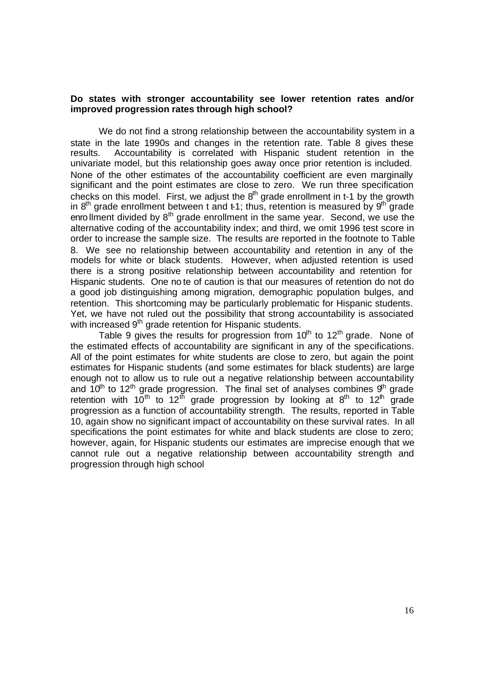#### **Do states with stronger accountability see lower retention rates and/or improved progression rates through high school?**

We do not find a strong relationship between the accountability system in a state in the late 1990s and changes in the retention rate. Table 8 gives these results. Accountability is correlated with Hispanic student retention in the univariate model, but this relationship goes away once prior retention is included. None of the other estimates of the accountability coefficient are even marginally significant and the point estimates are close to zero. We run three specification checks on this model. First, we adjust the  $8<sup>th</sup>$  grade enrollment in t-1 by the growth in  $8<sup>th</sup>$  grade enrollment between t and t-1; thus, retention is measured by  $9<sup>th</sup>$  grade enro llment divided by  $8<sup>th</sup>$  grade enrollment in the same year. Second, we use the alternative coding of the accountability index; and third, we omit 1996 test score in order to increase the sample size. The results are reported in the footnote to Table 8. We see no relationship between accountability and retention in any of the models for white or black students. However, when adjusted retention is used there is a strong positive relationship between accountability and retention for Hispanic students. One no te of caution is that our measures of retention do not do a good job distinguishing among migration, demographic population bulges, and retention. This shortcoming may be particularly problematic for Hispanic students. Yet, we have not ruled out the possibility that strong accountability is associated with increased 9<sup>th</sup> grade retention for Hispanic students.

Table 9 gives the results for progression from  $10<sup>th</sup>$  to  $12<sup>th</sup>$  grade. None of the estimated effects of accountability are significant in any of the specifications. All of the point estimates for white students are close to zero, but again the point estimates for Hispanic students (and some estimates for black students) are large enough not to allow us to rule out a negative relationship between accountability and 10<sup>th</sup> to 12<sup>th</sup> grade progression. The final set of analyses combines  $9<sup>th</sup>$  grade retention with 10<sup>th</sup> to 12<sup>th</sup> grade progression by looking at 8<sup>th</sup> to 12<sup>th</sup> grade progression as a function of accountability strength. The results, reported in Table 10, again show no significant impact of accountability on these survival rates. In all specifications the point estimates for white and black students are close to zero; however, again, for Hispanic students our estimates are imprecise enough that we cannot rule out a negative relationship between accountability strength and progression through high school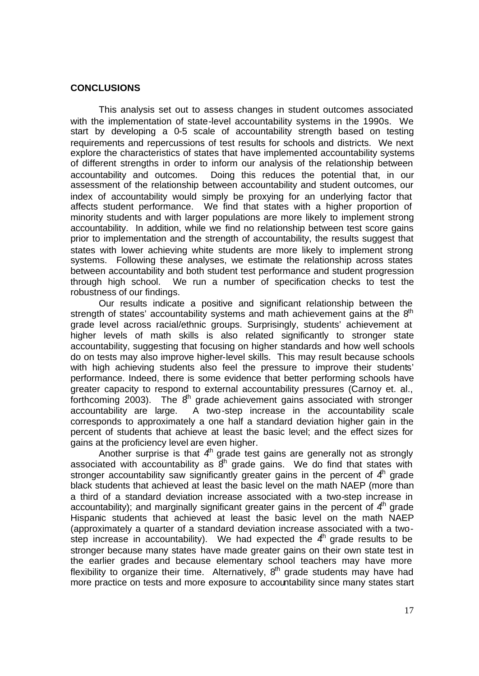### **CONCLUSIONS**

This analysis set out to assess changes in student outcomes associated with the implementation of state-level accountability systems in the 1990s. We start by developing a 0-5 scale of accountability strength based on testing requirements and repercussions of test results for schools and districts. We next explore the characteristics of states that have implemented accountability systems of different strengths in order to inform our analysis of the relationship between accountability and outcomes. Doing this reduces the potential that, in our assessment of the relationship between accountability and student outcomes, our index of accountability would simply be proxying for an underlying factor that affects student performance. We find that states with a higher proportion of minority students and with larger populations are more likely to implement strong accountability. In addition, while we find no relationship between test score gains prior to implementation and the strength of accountability, the results suggest that states with lower achieving white students are more likely to implement strong systems. Following these analyses, we estimate the relationship across states between accountability and both student test performance and student progression through high school. We run a number of specification checks to test the robustness of our findings.

Our results indicate a positive and significant relationship between the strength of states' accountability systems and math achievement gains at the 8<sup>th</sup> grade level across racial/ethnic groups. Surprisingly, students' achievement at higher levels of math skills is also related significantly to stronger state accountability, suggesting that focusing on higher standards and how well schools do on tests may also improve higher-level skills. This may result because schools with high achieving students also feel the pressure to improve their students' performance. Indeed, there is some evidence that better performing schools have greater capacity to respond to external accountability pressures (Carnoy et. al., forthcoming 2003). The  $8<sup>th</sup>$  grade achievement gains associated with stronger accountability are large. A two-step increase in the accountability scale corresponds to approximately a one half a standard deviation higher gain in the percent of students that achieve at least the basic level; and the effect sizes for gains at the proficiency level are even higher.

Another surprise is that  $4<sup>th</sup>$  grade test gains are generally not as strongly associated with accountability as  $\check{g}^h$  grade gains. We do find that states with stronger accountability saw significantly greater gains in the percent of  $4<sup>h</sup>$  grade black students that achieved at least the basic level on the math NAEP (more than a third of a standard deviation increase associated with a two-step increase in accountability); and marginally significant greater gains in the percent of  $4<sup>th</sup>$  grade Hispanic students that achieved at least the basic level on the math NAEP (approximately a quarter of a standard deviation increase associated with a twostep increase in accountability). We had expected the  $4<sup>th</sup>$  grade results to be stronger because many states have made greater gains on their own state test in the earlier grades and because elementary school teachers may have more flexibility to organize their time. Alternatively,  $8<sup>th</sup>$  grade students may have had more practice on tests and more exposure to accountability since many states start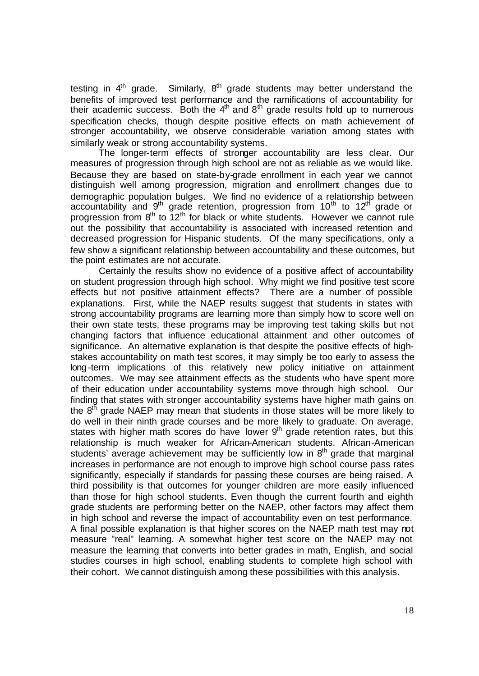testing in 4<sup>th</sup> grade. Similarly, 8<sup>th</sup> grade students may better understand the benefits of improved test performance and the ramifications of accountability for their academic success. Both the  $4<sup>th</sup>$  and  $8<sup>th</sup>$  grade results hold up to numerous specification checks, though despite positive effects on math achievement of stronger accountability, we observe considerable variation among states with similarly weak or strong accountability systems.

The longer-term effects of stronger accountability are less clear. Our measures of progression through high school are not as reliable as we would like. Because they are based on state-by-grade enrollment in each year we cannot distinguish well among progression, migration and enrollment changes due to demographic population bulges. We find no evidence of a relationship between accountability and 9<sup>th</sup> grade retention, progression from 10<sup>th</sup> to 12<sup>th</sup> grade or progression from  $8<sup>th</sup>$  to  $12<sup>th</sup>$  for black or white students. However we cannot rule out the possibility that accountability is associated with increased retention and decreased progression for Hispanic students. Of the many specifications, only a few show a significant relationship between accountability and these outcomes, but the point estimates are not accurate.

Certainly the results show no evidence of a positive affect of accountability on student progression through high school. Why might we find positive test score effects but not positive attainment effects? There are a number of possible explanations. First, while the NAEP results suggest that students in states with strong accountability programs are learning more than simply how to score well on their own state tests, these programs may be improving test taking skills but not changing factors that influence educational attainment and other outcomes of significance. An alternative explanation is that despite the positive effects of highstakes accountability on math test scores, it may simply be too early to assess the long -term implications of this relatively new policy initiative on attainment outcomes. We may see attainment effects as the students who have spent more of their education under accountability systems move through high school. Our finding that states with stronger accountability systems have higher math gains on the  $8<sup>th</sup>$  grade NAEP may mean that students in those states will be more likely to do well in their ninth grade courses and be more likely to graduate. On average, states with higher math scores do have lower  $9<sup>th</sup>$  grade retention rates, but this relationship is much weaker for African-American students. African-American students' average achievement may be sufficiently low in  $8<sup>th</sup>$  grade that marginal increases in performance are not enough to improve high school course pass rates significantly, especially if standards for passing these courses are being raised. A third possibility is that outcomes for younger children are more easily influenced than those for high school students. Even though the current fourth and eighth grade students are performing better on the NAEP, other factors may affect them in high school and reverse the impact of accountability even on test performance. A final possible explanation is that higher scores on the NAEP math test may not measure "real" learning. A somewhat higher test score on the NAEP may not measure the learning that converts into better grades in math, English, and social studies courses in high school, enabling students to complete high school with their cohort. We cannot distinguish among these possibilities with this analysis.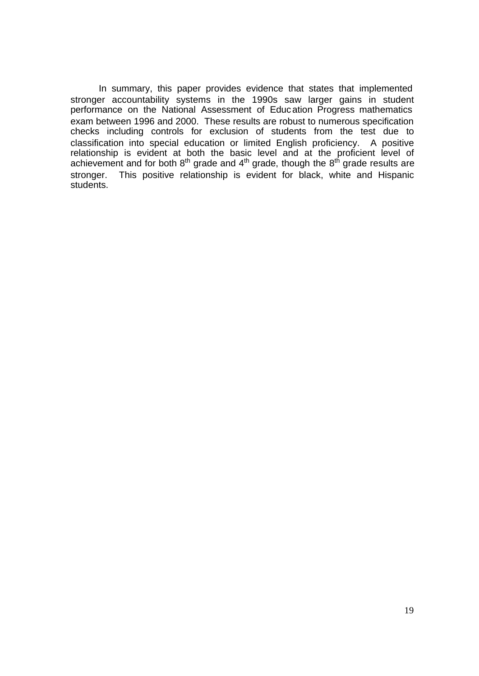In summary, this paper provides evidence that states that implemented stronger accountability systems in the 1990s saw larger gains in student performance on the National Assessment of Education Progress mathematics exam between 1996 and 2000. These results are robust to numerous specification checks including controls for exclusion of students from the test due to classification into special education or limited English proficiency. A positive relationship is evident at both the basic level and at the proficient level of achievement and for both  $8<sup>th</sup>$  grade and  $4<sup>th</sup>$  grade, though the  $8<sup>th</sup>$  grade results are stronger. This positive relationship is evident for black, white and Hispanic students.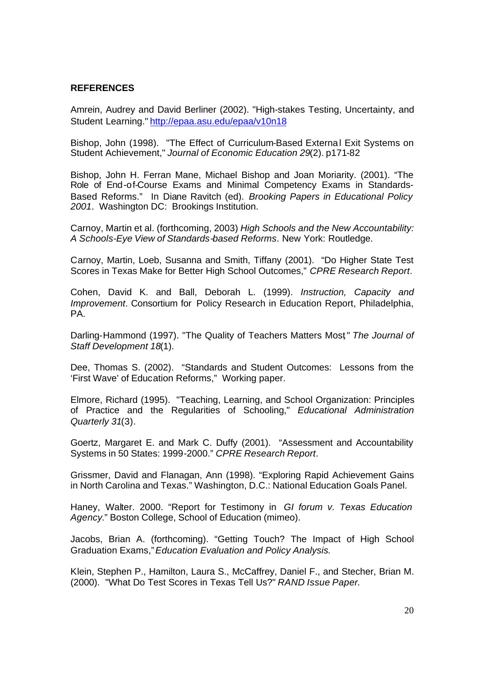### **REFERENCES**

Amrein, Audrey and David Berliner (2002). "High-stakes Testing, Uncertainty, and Student Learning." http://epaa.asu.edu/epaa/v10n18

Bishop, John (1998). "The Effect of Curriculum-Based External Exit Systems on Student Achievement," *Journal of Economic Education 29*(2). p171-82

Bishop, John H. Ferran Mane, Michael Bishop and Joan Moriarity. (2001). "The Role of End-of-Course Exams and Minimal Competency Exams in Standards-Based Reforms." In Diane Ravitch (ed). *Brooking Papers in Educational Policy 2001*. Washington DC: Brookings Institution.

Carnoy, Martin et al. (forthcoming, 2003) *High Schools and the New Accountability: A Schools-Eye View of Standards-based Reforms*. New York: Routledge.

Carnoy, Martin, Loeb, Susanna and Smith, Tiffany (2001). "Do Higher State Test Scores in Texas Make for Better High School Outcomes," *CPRE Research Report*.

Cohen, David K. and Ball, Deborah L. (1999). *Instruction, Capacity and Improvement*. Consortium for Policy Research in Education Report, Philadelphia, PA.

Darling-Hammond (1997). "The Quality of Teachers Matters Most*," The Journal of Staff Development 18*(1).

Dee, Thomas S. (2002). "Standards and Student Outcomes: Lessons from the 'First Wave' of Education Reforms," Working paper.

Elmore, Richard (1995). "Teaching, Learning, and School Organization: Principles of Practice and the Regularities of Schooling," *Educational Administration Quarterly 31*(3).

Goertz, Margaret E. and Mark C. Duffy (2001). "Assessment and Accountability Systems in 50 States: 1999-2000." *CPRE Research Report*.

Grissmer, David and Flanagan, Ann (1998). "Exploring Rapid Achievement Gains in North Carolina and Texas." Washington, D.C.: National Education Goals Panel.

Haney, Walter. 2000. "Report for Testimony in *GI forum v. Texas Education Agency*." Boston College, School of Education (mimeo).

Jacobs, Brian A. (forthcoming). "Getting Touch? The Impact of High School Graduation Exams," *Education Evaluation and Policy Analysis*.

Klein, Stephen P., Hamilton, Laura S., McCaffrey, Daniel F., and Stecher, Brian M. (2000). "What Do Test Scores in Texas Tell Us?" *RAND Issue Paper*.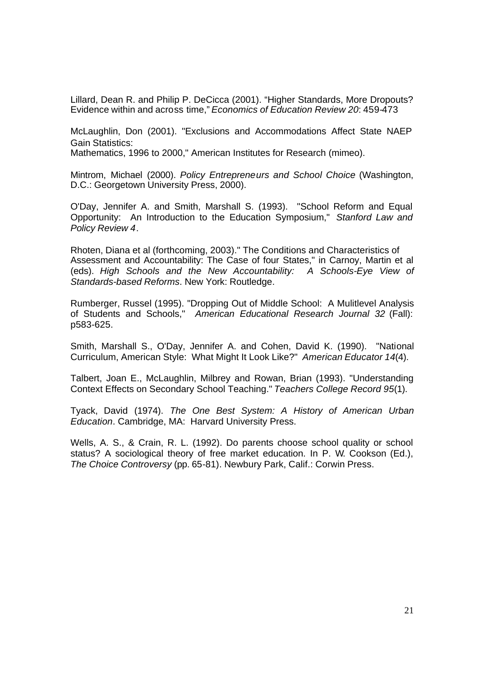Lillard, Dean R. and Philip P. DeCicca (2001). "Higher Standards, More Dropouts? Evidence within and across time," *Economics of Education Review 20*: 459-473

McLaughlin, Don (2001). "Exclusions and Accommodations Affect State NAEP Gain Statistics:

Mathematics, 1996 to 2000," American Institutes for Research (mimeo).

Mintrom, Michael (2000). *Policy Entrepreneurs and School Choice* (Washington, D.C.: Georgetown University Press, 2000).

O'Day, Jennifer A. and Smith, Marshall S. (1993). "School Reform and Equal Opportunity: An Introduction to the Education Symposium," *Stanford Law and Policy Review 4*.

Rhoten, Diana et al (forthcoming, 2003)." The Conditions and Characteristics of Assessment and Accountability: The Case of four States," in Carnoy, Martin et al (eds). *High Schools and the New Accountability: A Schools-Eye View of Standards-based Reforms*. New York: Routledge.

Rumberger, Russel (1995). "Dropping Out of Middle School: A Mulitlevel Analysis of Students and Schools," *American Educational Research Journal 32* (Fall): p583-625.

Smith, Marshall S., O'Day, Jennifer A. and Cohen, David K. (1990). "National Curriculum, American Style: What Might It Look Like?" *American Educator 14*(4).

Talbert, Joan E., McLaughlin, Milbrey and Rowan, Brian (1993). "Understanding Context Effects on Secondary School Teaching." *Teachers College Record 95*(1).

Tyack, David (1974). *The One Best System: A History of American Urban Education*. Cambridge, MA: Harvard University Press.

Wells, A. S., & Crain, R. L. (1992). Do parents choose school quality or school status? A sociological theory of free market education. In P. W. Cookson (Ed.), *The Choice Controversy* (pp. 65-81). Newbury Park, Calif.: Corwin Press.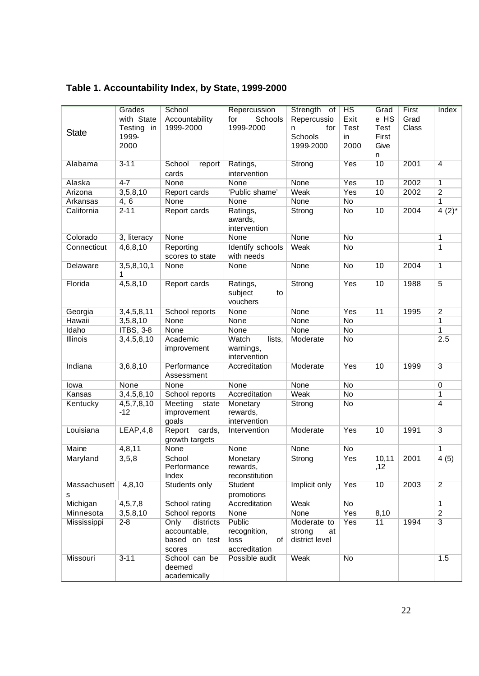|              | Grades              | School                          | Repercussion          | Strength<br>$\overline{of}$ | HS                     | Grad  | <b>First</b> | Index          |
|--------------|---------------------|---------------------------------|-----------------------|-----------------------------|------------------------|-------|--------------|----------------|
|              | with State          | Accountability                  | Schools<br>for        | Repercussio                 | Exit                   | e HS  | Grad         |                |
|              | Testing in          | 1999-2000                       | 1999-2000             | for<br>n.                   | Test                   | Test  | Class        |                |
| <b>State</b> | 1999-               |                                 |                       | Schools                     | in                     | First |              |                |
|              | 2000                |                                 |                       | 1999-2000                   | 2000                   | Give  |              |                |
|              |                     |                                 |                       |                             |                        | n     |              |                |
| Alabama      | $3 - 11$            | School<br>report                | Ratings,              | Strong                      | Yes                    | 10    | 2001         | $\overline{4}$ |
|              |                     | cards                           | intervention          |                             |                        |       |              |                |
| Alaska       | $4 - 7$             | <b>None</b>                     | None                  | <b>None</b>                 | Yes                    | 10    | 2002         | 1              |
| Arizona      | 3,5,8,10            | Report cards                    | 'Public shame'        | Weak                        | Yes                    | 10    | 2002         | $\overline{2}$ |
| Arkansas     | 4, 6                | <b>None</b>                     | None                  | <b>None</b>                 | No                     |       |              | $\overline{1}$ |
| California   | $2 - 11$            | Report cards                    | Ratings,              | Strong                      | No                     | 10    | 2004         | $4(2)^{*}$     |
|              |                     |                                 | awards.               |                             |                        |       |              |                |
|              |                     |                                 | intervention          |                             |                        |       |              |                |
| Colorado     | 3, literacy         | None                            | None                  | <b>None</b>                 | <b>No</b>              |       |              | 1              |
| Connecticut  | 4,6,8,10            | Reporting                       | Identify schools      | Weak                        | <b>No</b>              |       |              | 1              |
|              |                     | scores to state                 | with needs            |                             |                        |       |              |                |
| Delaware     | 3,5,8,10,1          | None                            | None                  | None                        | No                     | 10    | 2004         | 1              |
|              | 1                   |                                 |                       |                             |                        |       |              |                |
| Florida      | 4,5,8,10            | Report cards                    | Ratings,              | Strong                      | Yes                    | 10    | 1988         | $\overline{5}$ |
|              |                     |                                 | subject<br>to         |                             |                        |       |              |                |
|              |                     |                                 | vouchers              |                             |                        |       |              |                |
| Georgia      | 3,4,5,8,11          | School reports                  | None                  | None                        | Yes                    | 11    | 1995         | $\overline{2}$ |
| Hawaii       | 3,5,8,10            | None                            | None                  | None                        | No                     |       |              | 1              |
| Idaho        | <b>ITBS, 3-8</b>    | None                            | None                  | None                        | <b>No</b>              |       |              | 1              |
| Illinois     | 3,4,5,8,10          | Academic                        | Watch<br>lists,       | Moderate                    | No                     |       |              | 2.5            |
|              |                     | improvement                     | warnings,             |                             |                        |       |              |                |
|              |                     |                                 | intervention          |                             |                        |       |              |                |
| Indiana      | 3,6,8,10            | Performance                     | Accreditation         | Moderate                    | Yes                    | 10    | 1999         | $\overline{3}$ |
|              |                     | Assessment                      |                       |                             |                        |       |              |                |
| lowa         | None                | None                            | None<br>Accreditation | None<br>Weak                | <b>No</b><br><b>No</b> |       |              | $\overline{0}$ |
| Kansas       | 3,4,5,8,10          | School reports                  |                       |                             |                        |       |              | 1              |
| Kentucky     | 4,5,7,8,10<br>$-12$ | Meeting<br>state<br>improvement | Monetary<br>rewards,  | Strong                      | No                     |       |              | $\overline{4}$ |
|              |                     | goals                           | intervention          |                             |                        |       |              |                |
| Louisiana    | LEAP, 4, 8          | Report<br>cards,                | Intervention          | Moderate                    | Yes                    | 10    | 1991         | $\overline{3}$ |
|              |                     | growth targets                  |                       |                             |                        |       |              |                |
| Maine        | 4,8,11              | None                            | None                  | None                        | <b>No</b>              |       |              | 1              |
| Maryland     | 3, 5, 8             | School                          | Monetary              | Strong                      | Yes                    | 10,11 | 2001         | 4(5)           |
|              |                     | Performance                     | rewards,              |                             |                        | ,12   |              |                |
|              |                     | Index                           | reconstitution        |                             |                        |       |              |                |
| Massachusett | 4,8,10              | Students only                   | <b>Student</b>        | Implicit only               | Yes                    | 10    | 2003         | $\overline{2}$ |
| s            |                     |                                 | promotions            |                             |                        |       |              |                |
| Michigan     | 4, 5, 7, 8          | School rating                   | Accreditation         | Weak                        | <b>No</b>              |       |              | 1              |
| Minnesota    | 3,5,8,10            | School reports                  | None                  | None                        | Yes                    | 8,10  |              | $\overline{2}$ |
| Mississippi  | $2 - 8$             | Only<br>districts               | Public                | Moderate to                 | Yes                    | 11    | 1994         | $\overline{3}$ |
|              |                     | accountable,                    | recognition,          | strong<br>at                |                        |       |              |                |
|              |                     | based on test                   | of<br>loss            | district level              |                        |       |              |                |
|              |                     | scores                          | accreditation         |                             |                        |       |              |                |
| Missouri     | $3 - 11$            | School can be                   | Possible audit        | Weak                        | <b>No</b>              |       |              | 1.5            |
|              |                     | deemed                          |                       |                             |                        |       |              |                |
|              |                     | academically                    |                       |                             |                        |       |              |                |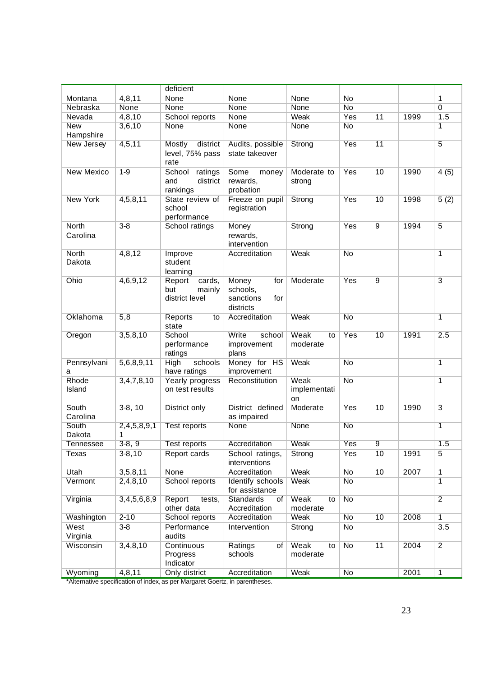|                         |                  | deficient                                           |                                                           |                            |                 |                |      |                |
|-------------------------|------------------|-----------------------------------------------------|-----------------------------------------------------------|----------------------------|-----------------|----------------|------|----------------|
| Montana                 | 4, 8, 11         | None                                                | None                                                      | None                       | No              |                |      | $\mathbf{1}$   |
| Nebraska                | None             | None                                                | None                                                      | None                       | <b>No</b>       |                |      | $\overline{0}$ |
| Nevada                  | 4,8,10           | School reports                                      | <b>None</b>                                               | Weak                       | Yes             | 11             | 1999 | 1.5            |
| <b>New</b>              | 3,6,10           | <b>None</b>                                         | None                                                      | <b>None</b>                | $\overline{No}$ |                |      | $\overline{1}$ |
| Hampshire<br>New Jersey | 4, 5, 11         | <b>Mostly</b><br>district                           | Audits, possible                                          | Strong                     | Yes             | 11             |      | $\overline{5}$ |
|                         |                  | level, 75% pass<br>rate                             | state takeover                                            |                            |                 |                |      |                |
| <b>New Mexico</b>       | $1 - 9$          | School<br>ratings<br>district<br>and<br>rankings    | Some<br>money<br>rewards,<br>probation                    | Moderate to<br>strong      | Yes             | 10             | 1990 | 4(5)           |
| <b>New York</b>         | 4,5,8,11         | State review of<br>school<br>performance            | Freeze on pupil<br>registration                           | Strong                     | Yes             | 10             | 1998 | 5(2)           |
| North<br>Carolina       | $3 - 8$          | School ratings                                      | Money<br>rewards,<br>intervention                         | Strong                     | Yes             | $\overline{9}$ | 1994 | $\overline{5}$ |
| <b>North</b><br>Dakota  | 4,8,12           | Improve<br>student<br>learning                      | Accreditation                                             | Weak                       | <b>No</b>       |                |      | 1              |
| Ohio                    | 4,6,9,12         | cards,<br>Report<br>mainly<br>but<br>district level | Money<br>for<br>schools,<br>sanctions<br>for<br>districts | Moderate                   | Yes             | $\overline{9}$ |      | $\overline{3}$ |
| Oklahoma                | 5,8              | Reports<br>to<br>state                              | Accreditation                                             | Weak                       | No              |                |      | $\overline{1}$ |
| Oregon                  | 3,5,8,10         | School<br>performance<br>ratings                    | Write<br>school<br>improvement<br>plans                   | Weak<br>to<br>moderate     | Yes             | 10             | 1991 | 2.5            |
| Pennsylvani<br>a        | 5,6,8,9,11       | High<br>schools<br>have ratings                     | Money for HS<br>improvement                               | Weak                       | No              |                |      | $\mathbf{1}$   |
| Rhode<br>Island         | 3,4,7,8,10       | Yearly progress<br>on test results                  | Reconstitution                                            | Weak<br>implementati<br>on | <b>No</b>       |                |      | $\mathbf{1}$   |
| South<br>Carolina       | $3-8, 10$        | <b>District only</b>                                | District defined<br>as impaired                           | Moderate                   | Yes             | 10             | 1990 | $\overline{3}$ |
| South<br>Dakota         | 2,4,5,8,9,1<br>1 | <b>Test reports</b>                                 | None                                                      | None                       | No              |                |      | $\overline{1}$ |
| <b>lennessee</b>        | $3-8, 9$         | <b>Test reports</b>                                 | Accreditation                                             | <b>Weak</b>                | Yes             | $\overline{9}$ |      | 1.5            |
| <b>Texas</b>            | $3 - 8, 10$      | Report cards                                        | School ratings,<br>interventions                          | Strong                     | Yes             | 10             | 1991 | 5              |
| Utah                    | 3, 5, 8, 11      | None                                                | Accreditation                                             | Weak                       | No              | 10             | 2007 | $\overline{1}$ |
| Vermont                 | 2,4,8,10         | School reports                                      | Identify schools<br>for assistance                        | Weak                       | <b>No</b>       |                |      | $\overline{1}$ |
| Virginia                | 3,4,5,6,8,9      | Report<br>tests,<br>other data                      | <b>Standards</b><br>of<br>Accreditation                   | Weak<br>to<br>moderate     | <b>No</b>       |                |      | $\overline{2}$ |
| Washington              | $2 - 10$         | School reports                                      | Accreditation                                             | Weak                       | <b>No</b>       | 10             | 2008 | $\overline{1}$ |
| West<br>Virginia        | $3-8$            | Performance<br>audits                               | Intervention                                              | Strong                     | No              |                |      | 3.5            |
| Wisconsin               | 3,4,8,10         | Continuous<br>Progress<br>Indicator                 | Ratings<br>of<br>schools                                  | Weak<br>to<br>moderate     | No              | 11             | 2004 | $\overline{2}$ |
| Wyoming                 | 4,8,11           | Only district                                       | Accreditation                                             | Weak                       | No              |                | 2001 | $\mathbf 1$    |

\*Alternative specification of index, as per Margaret Goertz, in parentheses.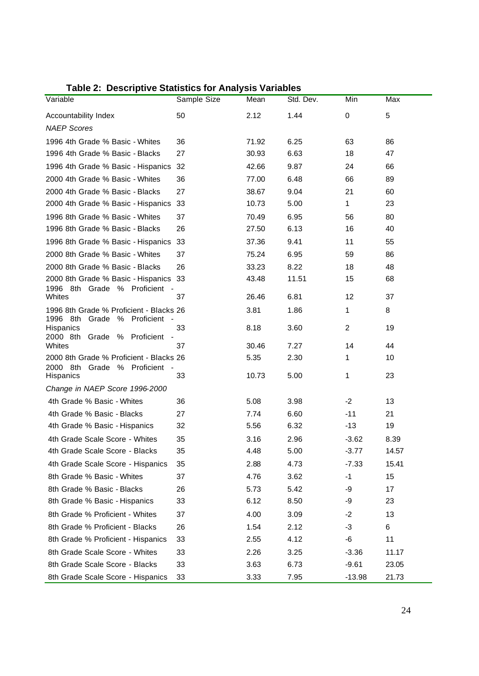|  | Table 2: Descriptive Statistics for Analysis Variables |  |  |
|--|--------------------------------------------------------|--|--|
|--|--------------------------------------------------------|--|--|

| Variable                                                                        | Sample Size | Mean  | Std. Dev. | Min            | Max   |
|---------------------------------------------------------------------------------|-------------|-------|-----------|----------------|-------|
| Accountability Index                                                            | 50          | 2.12  | 1.44      | $\pmb{0}$      | 5     |
| <b>NAEP Scores</b>                                                              |             |       |           |                |       |
| 1996 4th Grade % Basic - Whites                                                 | 36          | 71.92 | 6.25      | 63             | 86    |
| 1996 4th Grade % Basic - Blacks                                                 | 27          | 30.93 | 6.63      | 18             | 47    |
| 1996 4th Grade % Basic - Hispanics                                              | 32          | 42.66 | 9.87      | 24             | 66    |
| 2000 4th Grade % Basic - Whites                                                 | 36          | 77.00 | 6.48      | 66             | 89    |
| 2000 4th Grade % Basic - Blacks                                                 | 27          | 38.67 | 9.04      | 21             | 60    |
| 2000 4th Grade % Basic - Hispanics                                              | 33          | 10.73 | 5.00      | 1              | 23    |
| 1996 8th Grade % Basic - Whites                                                 | 37          | 70.49 | 6.95      | 56             | 80    |
| 1996 8th Grade % Basic - Blacks                                                 | 26          | 27.50 | 6.13      | 16             | 40    |
| 1996 8th Grade % Basic - Hispanics                                              | 33          | 37.36 | 9.41      | 11             | 55    |
| 2000 8th Grade % Basic - Whites                                                 | 37          | 75.24 | 6.95      | 59             | 86    |
| 2000 8th Grade % Basic - Blacks                                                 | 26          | 33.23 | 8.22      | 18             | 48    |
| 2000 8th Grade % Basic - Hispanics                                              | 33          | 43.48 | 11.51     | 15             | 68    |
| 1996 8th Grade % Proficient                                                     |             |       |           |                |       |
| Whites                                                                          | 37          | 26.46 | 6.81      | 12             | 37    |
| 1996 8th Grade % Proficient - Blacks 26<br>1996 8th<br>Grade<br>%<br>Proficient |             | 3.81  | 1.86      | 1              | 8     |
| Hispanics                                                                       | 33          | 8.18  | 3.60      | $\overline{2}$ | 19    |
| 2000 8th<br>Grade % Proficient                                                  |             |       |           |                |       |
| Whites<br>2000 8th Grade % Proficient - Blacks 26                               | 37          | 30.46 | 7.27      | 14             | 44    |
| 2000 8th Grade % Proficient                                                     |             | 5.35  | 2.30      | 1              | 10    |
| Hispanics                                                                       | 33          | 10.73 | 5.00      | 1              | 23    |
| Change in NAEP Score 1996-2000                                                  |             |       |           |                |       |
| 4th Grade % Basic - Whites                                                      | 36          | 5.08  | 3.98      | $-2$           | 13    |
| 4th Grade % Basic - Blacks                                                      | 27          | 7.74  | 6.60      | $-11$          | 21    |
| 4th Grade % Basic - Hispanics                                                   | 32          | 5.56  | 6.32      | -13            | 19    |
| 4th Grade Scale Score - Whites                                                  | 35          | 3.16  | 2.96      | $-3.62$        | 8.39  |
| 4th Grade Scale Score - Blacks                                                  | 35          | 4.48  | 5.00      | $-3.77$        | 14.57 |
| 4th Grade Scale Score - Hispanics                                               | 35          | 2.88  | 4.73      | $-7.33$        | 15.41 |
| 8th Grade % Basic - Whites                                                      | 37          | 4.76  | 3.62      | $-1$           | 15    |
| 8th Grade % Basic - Blacks                                                      | 26          | 5.73  | 5.42      | -9             | 17    |
| 8th Grade % Basic - Hispanics                                                   | 33          | 6.12  | 8.50      | -9             | 23    |
| 8th Grade % Proficient - Whites                                                 | 37          | 4.00  | 3.09      | $-2$           | 13    |
| 8th Grade % Proficient - Blacks                                                 | 26          | 1.54  | 2.12      | $-3$           | 6     |
| 8th Grade % Proficient - Hispanics                                              | 33          | 2.55  | 4.12      | $-6$           | 11    |
| 8th Grade Scale Score - Whites                                                  | 33          | 2.26  | 3.25      | $-3.36$        | 11.17 |
| 8th Grade Scale Score - Blacks                                                  | 33          | 3.63  | 6.73      | $-9.61$        | 23.05 |
| 8th Grade Scale Score - Hispanics                                               | 33          | 3.33  | 7.95      | $-13.98$       | 21.73 |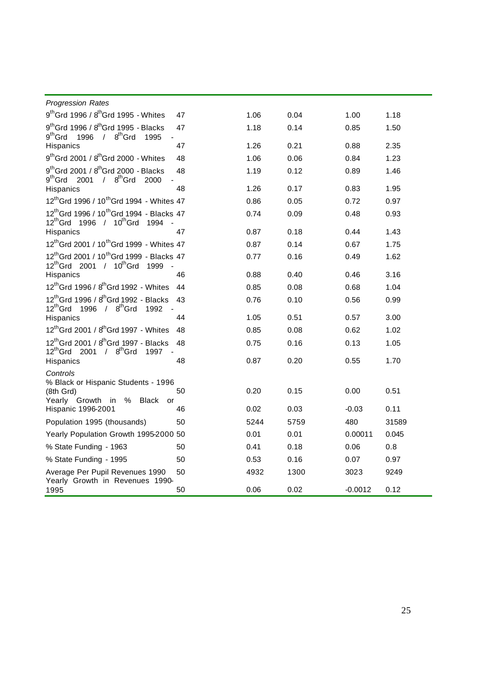| <b>Progression Rates</b>                                                                                          |    |      |      |           |       |
|-------------------------------------------------------------------------------------------------------------------|----|------|------|-----------|-------|
| $9^{\text{th}}$ Grd 1996 / $8^{\text{th}}$ Grd 1995 - Whites                                                      | 47 | 1.06 | 0.04 | 1.00      | 1.18  |
| 9th Grd 1996 / 8th Grd 1995 - Blacks<br>$9th$ Grd<br>$8th$ Grd<br>1996<br>$\sqrt{2}$<br>1995                      | 47 | 1.18 | 0.14 | 0.85      | 1.50  |
| Hispanics                                                                                                         | 47 | 1.26 | 0.21 | 0.88      | 2.35  |
| $9^{th}$ Grd 2001 / $8^{th}$ Grd 2000 - Whites                                                                    | 48 | 1.06 | 0.06 | 0.84      | 1.23  |
| $9^{th}$ Grd 2001 / $8^{th}$ Grd 2000 - Blacks<br>$9th$ Grd<br>$8th$ Grd<br>2001<br>$\sqrt{2}$<br>2000            | 48 | 1.19 | 0.12 | 0.89      | 1.46  |
| Hispanics                                                                                                         | 48 | 1.26 | 0.17 | 0.83      | 1.95  |
| 12th Grd 1996 / 10 <sup>th</sup> Grd 1994 - Whites 47                                                             |    | 0.86 | 0.05 | 0.72      | 0.97  |
| 12th Grd 1996 / 10 <sup>th</sup> Grd 1994 - Blacks 47<br>12th Grd 1996 / 10th Grd<br>1994                         |    | 0.74 | 0.09 | 0.48      | 0.93  |
| Hispanics                                                                                                         | 47 | 0.87 | 0.18 | 0.44      | 1.43  |
| 12th Grd 2001 / 10 <sup>th</sup> Grd 1999 - Whites 47                                                             |    | 0.87 | 0.14 | 0.67      | 1.75  |
| 12th Grd 2001 / 10 <sup>th</sup> Grd 1999 - Blacks 47<br>12 <sup>th</sup> Grd 2001 / 10 <sup>th</sup> Grd<br>1999 |    | 0.77 | 0.16 | 0.49      | 1.62  |
| Hispanics                                                                                                         | 46 | 0.88 | 0.40 | 0.46      | 3.16  |
| $12^{th}$ Grd 1996 / $8^{th}$ Grd 1992 - Whites                                                                   | 44 | 0.85 | 0.08 | 0.68      | 1.04  |
| 12th Grd 1996 / 8th Grd 1992 - Blacks<br>1996 / 8 <sup>th</sup> Grd<br>$12^{th}$ Grd<br>1992                      | 43 | 0.76 | 0.10 | 0.56      | 0.99  |
| Hispanics                                                                                                         | 44 | 1.05 | 0.51 | 0.57      | 3.00  |
| 12 <sup>th</sup> Grd 2001 / 8 <sup>th</sup> Grd 1997 - Whites                                                     | 48 | 0.85 | 0.08 | 0.62      | 1.02  |
| 12th Grd 2001 / 8th Grd 1997 - Blacks<br>$12^{th}$ Grd<br>/ 8 <sup>th</sup> Grd<br>2001<br>1997                   | 48 | 0.75 | 0.16 | 0.13      | 1.05  |
| Hispanics                                                                                                         | 48 | 0.87 | 0.20 | 0.55      | 1.70  |
| Controls<br>% Black or Hispanic Students - 1996<br>(8th Grd)                                                      | 50 | 0.20 | 0.15 | 0.00      | 0.51  |
| Yearly Growth in<br>$\%$<br>Black<br>or                                                                           |    |      |      |           |       |
| <b>Hispanic 1996-2001</b>                                                                                         | 46 | 0.02 | 0.03 | $-0.03$   | 0.11  |
| Population 1995 (thousands)                                                                                       | 50 | 5244 | 5759 | 480       | 31589 |
| Yearly Population Growth 1995-2000 50                                                                             |    | 0.01 | 0.01 | 0.00011   | 0.045 |
| % State Funding - 1963                                                                                            | 50 | 0.41 | 0.18 | 0.06      | 0.8   |
| % State Funding - 1995                                                                                            | 50 | 0.53 | 0.16 | 0.07      | 0.97  |
| Average Per Pupil Revenues 1990<br>Yearly Growth in Revenues 1990-                                                | 50 | 4932 | 1300 | 3023      | 9249  |
| 1995                                                                                                              | 50 | 0.06 | 0.02 | $-0.0012$ | 0.12  |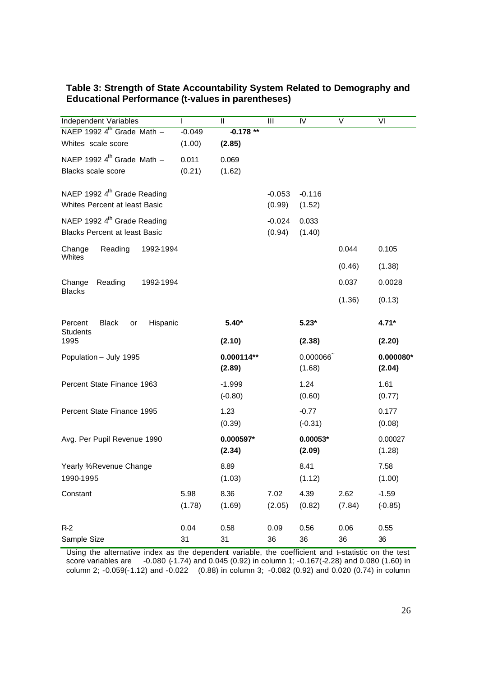| <b>Independent Variables</b>                                                    | T              | $\mathsf{I}\mathsf{I}$ | $\overline{\mathsf{III}}$ | $\overline{N}$       | $\overline{\mathsf{v}}$ | $\overline{\mathsf{V}}$ |
|---------------------------------------------------------------------------------|----------------|------------------------|---------------------------|----------------------|-------------------------|-------------------------|
| NAEP 1992 4 <sup>th</sup> Grade Math -                                          | $-0.049$       | $-0.178**$             |                           |                      |                         |                         |
| Whites scale score                                                              | (1.00)         | (2.85)                 |                           |                      |                         |                         |
| NAEP 1992 $4^{th}$ Grade Math -                                                 | 0.011          | 0.069                  |                           |                      |                         |                         |
| <b>Blacks scale score</b>                                                       | (0.21)         | (1.62)                 |                           |                      |                         |                         |
| NAEP 1992 4 <sup>th</sup> Grade Reading<br>Whites Percent at least Basic        |                |                        | $-0.053$<br>(0.99)        | $-0.116$<br>(1.52)   |                         |                         |
| NAEP 1992 4 <sup>th</sup> Grade Reading<br><b>Blacks Percent at least Basic</b> |                |                        | $-0.024$<br>(0.94)        | 0.033<br>(1.40)      |                         |                         |
| Reading<br>1992-1994<br>Change<br>Whites                                        |                |                        |                           |                      | 0.044                   | 0.105                   |
|                                                                                 |                |                        |                           |                      | (0.46)                  | (1.38)                  |
| Change<br>Reading<br>1992-1994<br><b>Blacks</b>                                 |                |                        |                           |                      | 0.037                   | 0.0028                  |
|                                                                                 |                |                        |                           |                      | (1.36)                  | (0.13)                  |
| Percent<br><b>Black</b><br>Hispanic<br>or<br><b>Students</b>                    |                | $5.40*$                |                           | $5.23*$              |                         | $4.71*$                 |
| 1995                                                                            |                | (2.10)                 |                           | (2.38)               |                         | (2.20)                  |
| Population - July 1995                                                          |                | $0.000114**$<br>(2.89) |                           | 0.000066<br>(1.68)   |                         | $0.000080*$<br>(2.04)   |
| Percent State Finance 1963                                                      |                | $-1.999$               |                           | 1.24                 |                         | 1.61                    |
|                                                                                 |                | $(-0.80)$              |                           | (0.60)               |                         | (0.77)                  |
| Percent State Finance 1995                                                      |                | 1.23                   |                           | $-0.77$              |                         | 0.177                   |
|                                                                                 |                | (0.39)                 |                           | $(-0.31)$            |                         | (0.08)                  |
| Avg. Per Pupil Revenue 1990                                                     |                | 0.000597*<br>(2.34)    |                           | $0.00053*$<br>(2.09) |                         | 0.00027<br>(1.28)       |
| Yearly %Revenue Change                                                          |                | 8.89                   |                           | 8.41                 |                         | 7.58                    |
| 1990-1995                                                                       |                | (1.03)                 |                           | (1.12)               |                         | (1.00)                  |
| Constant                                                                        | 5.98<br>(1.78) | 8.36<br>(1.69)         | 7.02<br>(2.05)            | 4.39<br>(0.82)       | 2.62<br>(7.84)          | $-1.59$<br>$(-0.85)$    |
| $R-2$<br>Sample Size                                                            | 0.04<br>31     | 0.58<br>31             | 0.09<br>36                | 0.56<br>36           | 0.06<br>36              | 0.55<br>36              |

### **Table 3: Strength of State Accountability System Related to Demography and Educational Performance (t-values in parentheses)**

Using the alternative index as the dependent variable, the coefficient and t-statistic on the test score variables are -0.080 (-1.74) and 0.045 (0.92) in column 1; -0.167(-2.28) and 0.080 (1.60) in column 2; -0.059(-1.12) and -0.022 (0.88) in column 3; -0.082 (0.92) and 0.020 (0.74) in column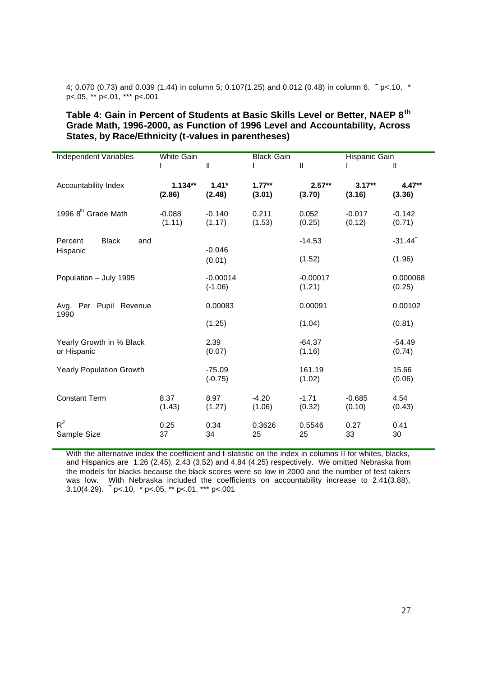4; 0.070 (0.73) and 0.039 (1.44) in column 5; 0.107(1.25) and 0.012 (0.48) in column 6.  $\degree$  p<.10,  $\degree$ p<.05, \*\* p<.01, \*\*\* p<.001

### **Table 4: Gain in Percent of Students at Basic Skills Level or Better, NAEP 8th Grade Math, 1996-2000, as Function of 1996 Level and Accountability, Across States, by Race/Ethnicity (t-values in parentheses)**

| Independent Variables                   | <b>White Gain</b>   |                         | <b>Black Gain</b>   |                      | Hispanic Gain      |                       |
|-----------------------------------------|---------------------|-------------------------|---------------------|----------------------|--------------------|-----------------------|
|                                         |                     | π                       |                     | π                    |                    | π                     |
| Accountability Index                    | $1.134**$<br>(2.86) | $1.41*$<br>(2.48)       | $1.77***$<br>(3.01) | $2.57**$<br>(3.70)   | $3.17**$<br>(3.16) | $4.47**$<br>(3.36)    |
| 1996 8 <sup>th</sup> Grade Math         | $-0.088$<br>(1.11)  | $-0.140$<br>(1.17)      | 0.211<br>(1.53)     | 0.052<br>(0.25)      | $-0.017$<br>(0.12) | $-0.142$<br>(0.71)    |
| <b>Black</b><br>Percent<br>and          |                     | $-0.046$                |                     | $-14.53$             |                    | $-31.44$ <sup>~</sup> |
| Hispanic                                |                     | (0.01)                  |                     | (1.52)               |                    | (1.96)                |
| Population - July 1995                  |                     | $-0.00014$<br>$(-1.06)$ |                     | $-0.00017$<br>(1.21) |                    | 0.000068<br>(0.25)    |
| Per Pupil Revenue<br>Avg.<br>1990       |                     | 0.00083                 |                     | 0.00091              |                    | 0.00102               |
|                                         |                     | (1.25)                  |                     | (1.04)               |                    | (0.81)                |
| Yearly Growth in % Black<br>or Hispanic |                     | 2.39<br>(0.07)          |                     | $-64.37$<br>(1.16)   |                    | $-54.49$<br>(0.74)    |
| <b>Yearly Population Growth</b>         |                     | $-75.09$<br>$(-0.75)$   |                     | 161.19<br>(1.02)     |                    | 15.66<br>(0.06)       |
| <b>Constant Term</b>                    | 8.37<br>(1.43)      | 8.97<br>(1.27)          | $-4.20$<br>(1.06)   | $-1.71$<br>(0.32)    | $-0.685$<br>(0.10) | 4.54<br>(0.43)        |
| $R^2$<br>Sample Size                    | 0.25<br>37          | 0.34<br>34              | 0.3626<br>25        | 0.5546<br>25         | 0.27<br>33         | 0.41<br>30            |

With the alternative index the coefficient and t-statistic on the index in columns II for whites, blacks, and Hispanics are 1.26 (2.45), 2.43 (3.52) and 4.84 (4.25) respectively. We omitted Nebraska from the models for blacks because the black scores were so low in 2000 and the number of test takers was low. With Nebraska included the coefficients on accountability increase to 2.41(3.88), 3.10(4.29). **<sup>~</sup>** p<.10, \* p<.05, \*\* p<.01, \*\*\* p<.001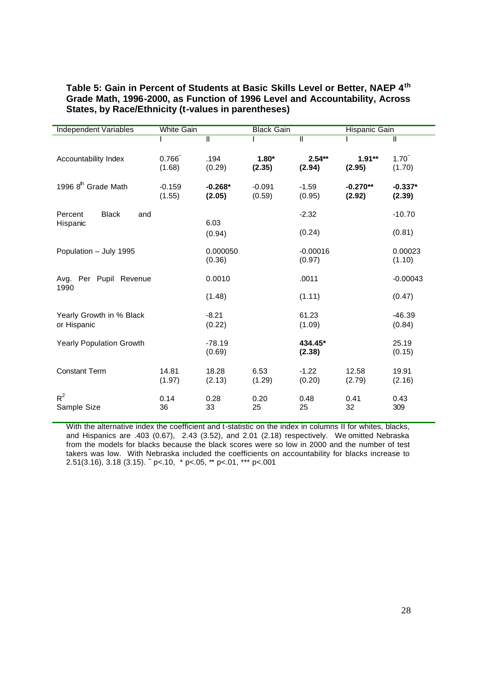### **Table 5: Gain in Percent of Students at Basic Skills Level or Better, NAEP 4th Grade Math, 1996-2000, as Function of 1996 Level and Accountability, Across States, by Race/Ethnicity (t-values in parentheses)**

| <b>Independent Variables</b>               | <b>White Gain</b>           |                         | <b>Black Gain</b>  |                         | <b>Hispanic Gain</b> |                             |
|--------------------------------------------|-----------------------------|-------------------------|--------------------|-------------------------|----------------------|-----------------------------|
|                                            |                             | $\overline{\mathbb{I}}$ |                    | $\overline{\mathbb{I}}$ |                      | $\mathbf{I}$                |
| Accountability Index                       | $0.766^{\degree}$<br>(1.68) | .194<br>(0.29)          | $1.80*$<br>(2.35)  | $2.54**$<br>(2.94)      | $1.91**$<br>(2.95)   | 1.70 <sup>°</sup><br>(1.70) |
| 1996 8 <sup>th</sup> Grade Math            | $-0.159$<br>(1.55)          | $-0.268*$<br>(2.05)     | $-0.091$<br>(0.59) | $-1.59$<br>(0.95)       | $-0.270**$<br>(2.92) | $-0.337*$<br>(2.39)         |
| <b>Black</b><br>Percent<br>and<br>Hispanic |                             | 6.03                    |                    | $-2.32$                 |                      | $-10.70$                    |
|                                            |                             | (0.94)                  |                    | (0.24)                  |                      | (0.81)                      |
| Population - July 1995                     |                             | 0.000050<br>(0.36)      |                    | $-0.00016$<br>(0.97)    |                      | 0.00023<br>(1.10)           |
| Avg. Per Pupil Revenue                     |                             | 0.0010                  |                    | .0011                   |                      | $-0.00043$                  |
| 1990                                       |                             | (1.48)                  |                    | (1.11)                  |                      | (0.47)                      |
| Yearly Growth in % Black<br>or Hispanic    |                             | $-8.21$<br>(0.22)       |                    | 61.23<br>(1.09)         |                      | $-46.39$<br>(0.84)          |
| <b>Yearly Population Growth</b>            |                             | $-78.19$<br>(0.69)      |                    | 434.45*<br>(2.38)       |                      | 25.19<br>(0.15)             |
| <b>Constant Term</b>                       | 14.81<br>(1.97)             | 18.28<br>(2.13)         | 6.53<br>(1.29)     | $-1.22$<br>(0.20)       | 12.58<br>(2.79)      | 19.91<br>(2.16)             |
| $R^2$<br>Sample Size                       | 0.14<br>36                  | 0.28<br>33              | 0.20<br>25         | 0.48<br>25              | 0.41<br>32           | 0.43<br>309                 |

With the alternative index the coefficient and t-statistic on the index in columns II for whites, blacks, and Hispanics are .403 (0.67), 2.43 (3.52), and 2.01 (2.18) respectively. We omitted Nebraska from the models for blacks because the black scores were so low in 2000 and the number of test takers was low. With Nebraska included the coefficients on accountability for blacks increase to 2.51(3.16), 3.18 (3.15). **<sup>~</sup>** p<.10, \* p<.05, \*\* p<.01, \*\*\* p<.001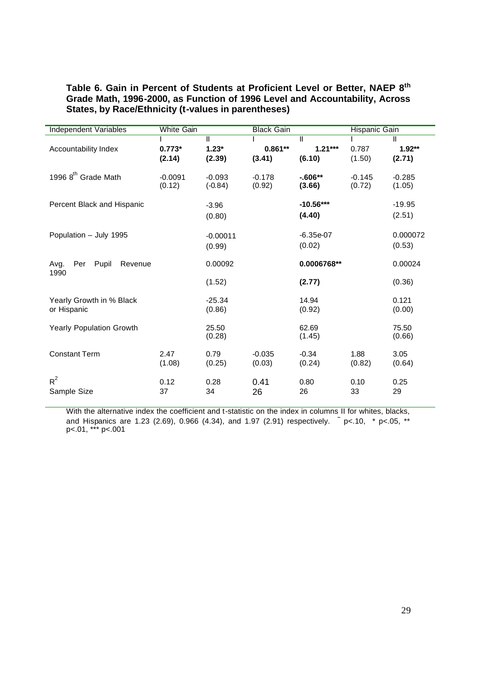### **Table 6. Gain in Percent of Students at Proficient Level or Better, NAEP 8th Grade Math, 1996-2000, as Function of 1996 Level and Accountability, Across States, by Race/Ethnicity (t-values in parentheses)**

| <b>Independent Variables</b>            | <b>White Gain</b>   |                        | <b>Black Gain</b>   |                          | <b>Hispanic Gain</b> |                         |
|-----------------------------------------|---------------------|------------------------|---------------------|--------------------------|----------------------|-------------------------|
| Accountability Index                    | $0.773*$<br>(2.14)  | Ш<br>$1.23*$<br>(2.39) | $0.861**$<br>(3.41) | Ш<br>$1.21***$<br>(6.10) | 0.787<br>(1.50)      | Ш<br>$1.92**$<br>(2.71) |
| 1996 8 <sup>th</sup> Grade Math         | $-0.0091$<br>(0.12) | $-0.093$<br>$(-0.84)$  | $-0.178$<br>(0.92)  | $-0.606**$<br>(3.66)     | $-0.145$<br>(0.72)   | $-0.285$<br>(1.05)      |
| Percent Black and Hispanic              |                     | $-3.96$<br>(0.80)      |                     | $-10.56***$<br>(4.40)    |                      | $-19.95$<br>(2.51)      |
| Population - July 1995                  |                     | $-0.00011$<br>(0.99)   |                     | $-6.35e-07$<br>(0.02)    |                      | 0.000072<br>(0.53)      |
| Pupil<br>Revenue<br>Per<br>Avg.         |                     | 0.00092                |                     | 0.0006768**              |                      | 0.00024                 |
| 1990                                    |                     | (1.52)                 |                     | (2.77)                   |                      | (0.36)                  |
| Yearly Growth in % Black<br>or Hispanic |                     | $-25.34$<br>(0.86)     |                     | 14.94<br>(0.92)          |                      | 0.121<br>(0.00)         |
| <b>Yearly Population Growth</b>         |                     | 25.50<br>(0.28)        |                     | 62.69<br>(1.45)          |                      | 75.50<br>(0.66)         |
| <b>Constant Term</b>                    | 2.47<br>(1.08)      | 0.79<br>(0.25)         | $-0.035$<br>(0.03)  | $-0.34$<br>(0.24)        | 1.88<br>(0.82)       | 3.05<br>(0.64)          |
| $R^2$<br>Sample Size                    | 0.12<br>37          | 0.28<br>34             | 0.41<br>26          | 0.80<br>26               | 0.10<br>33           | 0.25<br>29              |

With the alternative index the coefficient and t-statistic on the index in columns II for whites, blacks, and Hispanics are 1.23 (2.69), 0.966 (4.34), and 1.97 (2.91) respectively. <sup>\*</sup> p<.10, \* p<.05, \*\* p<.01, \*\*\* p<.001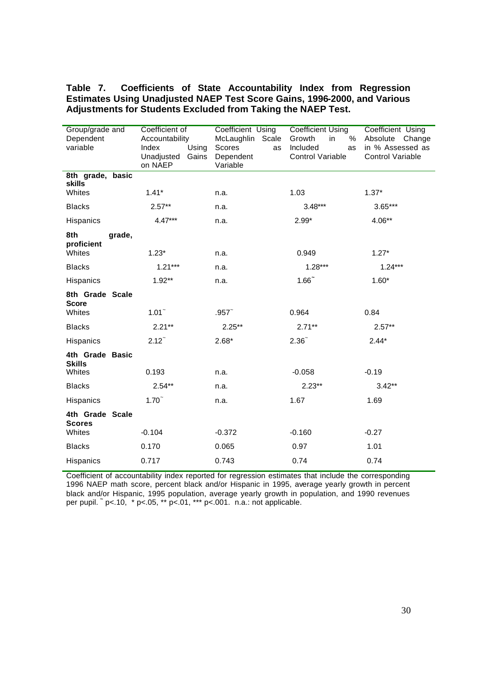### **Table 7. Coefficients of State Accountability Index from Regression Estimates Using Unadjusted NAEP Test Score Gains, 1996-2000, and Various Adjustments for Students Excluded from Taking the NAEP Test.**

| Group/grade and                   | Coefficient of                   | Coefficient Using                | <b>Coefficient Using</b>            | Coefficient Using                   |
|-----------------------------------|----------------------------------|----------------------------------|-------------------------------------|-------------------------------------|
| Dependent<br>variable             | Accountability<br>Index<br>Using | McLaughlin Scale<br>Scores<br>as | Growth<br>in<br>%<br>Included<br>as | Absolute Change<br>in % Assessed as |
|                                   | Unadjusted<br>Gains              | Dependent                        | <b>Control Variable</b>             | <b>Control Variable</b>             |
|                                   | on NAEP                          | Variable                         |                                     |                                     |
| 8th grade, basic<br><b>skills</b> |                                  |                                  |                                     |                                     |
| Whites                            | $1.41*$                          | n.a.                             | 1.03                                | $1.37*$                             |
| <b>Blacks</b>                     | $2.57**$                         | n.a.                             | 3.48***                             | 3.65***                             |
| Hispanics                         | 4.47***                          | n.a.                             | $2.99*$                             | $4.06**$                            |
| 8th<br>grade,<br>proficient       |                                  |                                  |                                     |                                     |
| Whites                            | $1.23*$                          | n.a.                             | 0.949                               | $1.27*$                             |
| <b>Blacks</b>                     | $1.21***$                        | n.a.                             | $1.28***$                           | $1.24***$                           |
| Hispanics                         | $1.92**$                         | n.a.                             | 1.66                                | $1.60*$                             |
| 8th Grade Scale<br><b>Score</b>   |                                  |                                  |                                     |                                     |
| Whites                            | $1.01$ <sup>~</sup>              | .957 <sup>°</sup>                | 0.964                               | 0.84                                |
| <b>Blacks</b>                     | $2.21**$                         | $2.25***$                        | $2.71**$                            | $2.57**$                            |
| Hispanics                         | $2.12$ <sup>~</sup>              | $2.68*$                          | $2.36^\circ$                        | $2.44*$                             |
| 4th Grade Basic<br><b>Skills</b>  |                                  |                                  |                                     |                                     |
| Whites                            | 0.193                            | n.a.                             | $-0.058$                            | $-0.19$                             |
| <b>Blacks</b>                     | $2.54***$                        | n.a.                             | $2.23**$                            | $3.42**$                            |
| Hispanics                         | 1.70                             | n.a.                             | 1.67                                | 1.69                                |
| 4th Grade Scale<br><b>Scores</b>  |                                  |                                  |                                     |                                     |
| Whites                            | $-0.104$                         | $-0.372$                         | $-0.160$                            | $-0.27$                             |
| <b>Blacks</b>                     | 0.170                            | 0.065                            | 0.97                                | 1.01                                |
| Hispanics                         | 0.717                            | 0.743                            | 0.74                                | 0.74                                |

Coefficient of accountability index reported for regression estimates that include the corresponding 1996 NAEP math score, percent black and/or Hispanic in 1995, average yearly growth in percent black and/or Hispanic, 1995 population, average yearly growth in population, and 1990 revenues<br>per pupil. ~ p<.10, \* p<.05, \*\* p<.01, \*\*\* p<.001. n.a.: not applicable.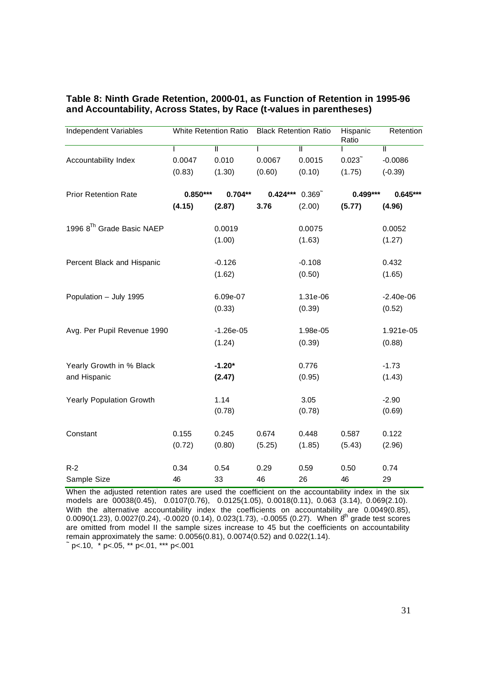### **Table 8: Ninth Grade Retention, 2000-01, as Function of Retention in 1995-96 and Accountability, Across States, by Race (t-values in parentheses)**

| Independent Variables                 | <b>White Retention Ratio</b> |             | <b>Black Retention Ratio</b> |          | <b>Hispanic</b><br>Ratio | Retention   |
|---------------------------------------|------------------------------|-------------|------------------------------|----------|--------------------------|-------------|
|                                       |                              | π           | I                            | π        |                          | π           |
| Accountability Index                  | 0.0047                       | 0.010       | 0.0067                       | 0.0015   | 0.023                    | $-0.0086$   |
|                                       | (0.83)                       | (1.30)      | (0.60)                       | (0.10)   | (1.75)                   | $(-0.39)$   |
| <b>Prior Retention Rate</b>           | $0.850***$                   | $0.704**$   | $0.424***$ 0.369             |          | $0.499***$               | $0.645***$  |
|                                       | (4.15)                       | (2.87)      | 3.76                         | (2.00)   | (5.77)                   | (4.96)      |
| 1996 8 <sup>Th</sup> Grade Basic NAEP |                              | 0.0019      |                              | 0.0075   |                          | 0.0052      |
|                                       |                              | (1.00)      |                              | (1.63)   |                          | (1.27)      |
| Percent Black and Hispanic            |                              | $-0.126$    |                              | $-0.108$ |                          | 0.432       |
|                                       |                              | (1.62)      |                              | (0.50)   |                          | (1.65)      |
| Population - July 1995                |                              | 6.09e-07    |                              | 1.31e-06 |                          | $-2.40e-06$ |
|                                       |                              | (0.33)      |                              | (0.39)   |                          | (0.52)      |
| Avg. Per Pupil Revenue 1990           |                              | $-1.26e-05$ |                              | 1.98e-05 |                          | 1.921e-05   |
|                                       |                              | (1.24)      |                              | (0.39)   |                          | (0.88)      |
| Yearly Growth in % Black              |                              | $-1.20*$    |                              | 0.776    |                          | $-1.73$     |
| and Hispanic                          |                              | (2.47)      |                              | (0.95)   |                          | (1.43)      |
| <b>Yearly Population Growth</b>       |                              | 1.14        |                              | 3.05     |                          | $-2.90$     |
|                                       |                              | (0.78)      |                              | (0.78)   |                          | (0.69)      |
| Constant                              | 0.155                        | 0.245       | 0.674                        | 0.448    | 0.587                    | 0.122       |
|                                       | (0.72)                       | (0.80)      | (5.25)                       | (1.85)   | (5.43)                   | (2.96)      |
| $R-2$                                 | 0.34                         | 0.54        | 0.29                         | 0.59     | 0.50                     | 0.74        |
| Sample Size                           | 46                           | 33          | 46                           | 26       | 46                       | 29          |

When the adjusted retention rates are used the coefficient on the accountability index in the six models are 00038(0.45), 0.0107(0.76), 0.0125(1.05), 0.0018(0.11), 0.063 (3.14), 0.069(2.10). With the alternative accountability index the coefficients on accountability are 0.0049(0.85), 0.0090(1.23), 0.0027(0.24), -0.0020 (0.14), 0.023(1.73), -0.0055 (0.27). When  $8<sup>h</sup>$  grade test scores are omitted from model II the sample sizes increase to 45 but the coefficients on accountability remain approximately the same: 0.0056(0.81), 0.0074(0.52) and 0.022(1.14).

**~** p<.10, \* p<.05, \*\* p<.01, \*\*\* p<.001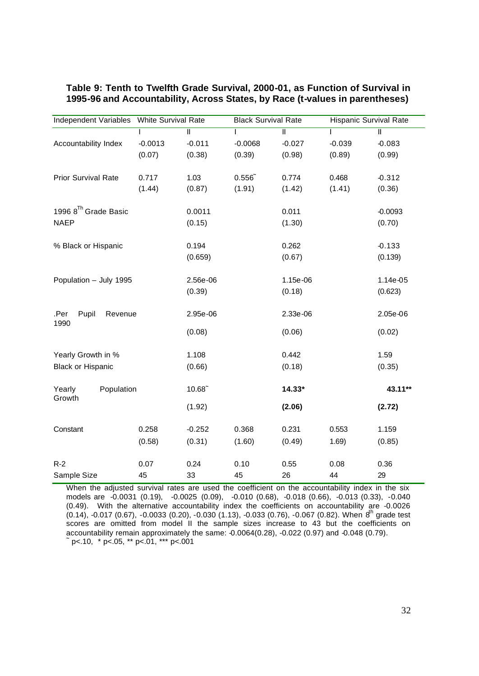| Independent Variables White Survival Rate |           |                    | <b>Black Survival Rate</b> |          | <b>Hispanic Survival Rate</b> |               |  |
|-------------------------------------------|-----------|--------------------|----------------------------|----------|-------------------------------|---------------|--|
|                                           |           | π                  |                            | π        |                               | $\mathbf{II}$ |  |
| Accountability Index                      | $-0.0013$ | $-0.011$           | $-0.0068$                  | $-0.027$ | $-0.039$                      | $-0.083$      |  |
|                                           | (0.07)    | (0.38)             | (0.39)                     | (0.98)   | (0.89)                        | (0.99)        |  |
|                                           |           |                    |                            |          |                               |               |  |
| <b>Prior Survival Rate</b>                | 0.717     | 1.03               | 0.556                      | 0.774    | 0.468                         | $-0.312$      |  |
|                                           | (1.44)    | (0.87)             | (1.91)                     | (1.42)   | (1.41)                        | (0.36)        |  |
| 1996 8 <sup>Th</sup> Grade Basic          |           | 0.0011             |                            | 0.011    |                               | $-0.0093$     |  |
| <b>NAEP</b>                               |           | (0.15)             |                            | (1.30)   |                               | (0.70)        |  |
|                                           |           |                    |                            |          |                               |               |  |
| % Black or Hispanic                       |           | 0.194              |                            | 0.262    |                               | $-0.133$      |  |
|                                           |           | (0.659)            |                            | (0.67)   |                               | (0.139)       |  |
|                                           |           |                    |                            |          |                               |               |  |
| Population - July 1995                    |           | 2.56e-06           |                            | 1.15e-06 |                               | 1.14e-05      |  |
|                                           |           | (0.39)             |                            | (0.18)   |                               | (0.623)       |  |
|                                           |           |                    |                            |          |                               |               |  |
| .Per<br>Revenue<br>Pupil<br>1990          |           | 2.95e-06           |                            | 2.33e-06 |                               | 2.05e-06      |  |
|                                           |           | (0.08)             |                            | (0.06)   |                               | (0.02)        |  |
|                                           |           |                    |                            |          |                               |               |  |
| Yearly Growth in %                        |           | 1.108              |                            | 0.442    |                               | 1.59          |  |
| <b>Black or Hispanic</b>                  |           | (0.66)             |                            | (0.18)   |                               | (0.35)        |  |
|                                           |           |                    |                            |          |                               |               |  |
| Yearly<br>Population<br>Growth            |           | 10.68 <sup>°</sup> |                            | 14.33*   |                               | 43.11**       |  |
|                                           |           | (1.92)             |                            | (2.06)   |                               | (2.72)        |  |
|                                           |           |                    |                            |          |                               |               |  |
| Constant                                  | 0.258     | $-0.252$           | 0.368                      | 0.231    | 0.553                         | 1.159         |  |
|                                           | (0.58)    | (0.31)             | (1.60)                     | (0.49)   | 1.69)                         | (0.85)        |  |
| $R-2$                                     | 0.07      | 0.24               | 0.10                       | 0.55     | 0.08                          | 0.36          |  |
| Sample Size                               | 45        | 33                 | 45                         | 26       | 44                            | 29            |  |
|                                           |           |                    |                            |          |                               |               |  |

### **Table 9: Tenth to Twelfth Grade Survival, 2000-01, as Function of Survival in 1995-96 and Accountability, Across States, by Race (t-values in parentheses)**

When the adjusted survival rates are used the coefficient on the accountability index in the six models are -0.0031 (0.19), -0.0025 (0.09), -0.010 (0.68), -0.018 (0.66), -0.013 (0.33), -0.040 (0.49). With the alternative accountability index the coefficients on accountability are -0.0026  $(0.14)$ , -0.017 (0.67), -0.0033 (0.20), -0.030 (1.13), -0.033 (0.76), -0.067 (0.82). When  $8<sup>th</sup>$  grade test scores are omitted from model II the sample sizes increase to 43 but the coefficients on accountability remain approximately the same: -0.0064(0.28), -0.022 (0.97) and -0.048 (0.79). **~** p<.10, \* p<.05, \*\* p<.01, \*\*\* p<.001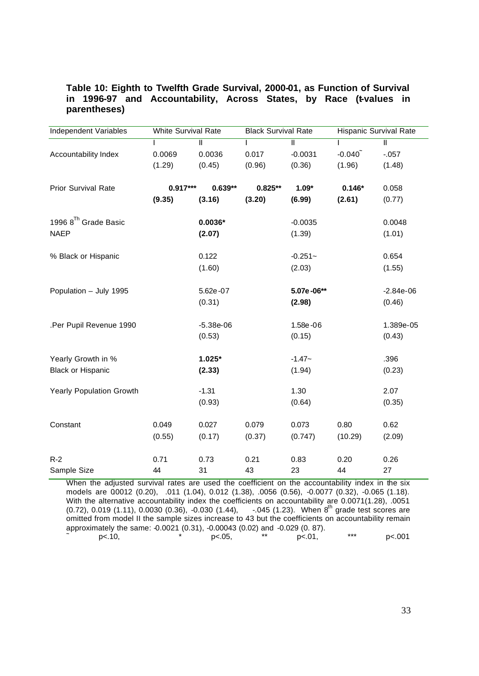### **Table 10: Eighth to Twelfth Grade Survival, 2000-01, as Function of Survival in 1996-97 and Accountability, Across States, by Race (t-values in parentheses)**

| <b>Independent Variables</b>     | <b>White Survival Rate</b> |                         | <b>Black Survival Rate</b> |                         | <b>Hispanic Survival Rate</b> |                         |  |
|----------------------------------|----------------------------|-------------------------|----------------------------|-------------------------|-------------------------------|-------------------------|--|
|                                  |                            | $\overline{\mathbb{I}}$ |                            | $\overline{\mathbb{I}}$ |                               | $\overline{\mathbb{I}}$ |  |
| Accountability Index             | 0.0069                     | 0.0036                  | 0.017                      | $-0.0031$               | $-0.040$                      | $-0.057$                |  |
|                                  | (1.29)                     | (0.45)                  | (0.96)                     | (0.36)                  | (1.96)                        | (1.48)                  |  |
| <b>Prior Survival Rate</b>       | $0.917***$                 | $0.639**$               | $0.825**$                  | $1.09*$                 | $0.146*$                      | 0.058                   |  |
|                                  | (9.35)                     | (3.16)                  | (3.20)                     | (6.99)                  | (2.61)                        | (0.77)                  |  |
| 1996 8 <sup>Th</sup> Grade Basic |                            | $0.0036*$               |                            | $-0.0035$               |                               | 0.0048                  |  |
| <b>NAEP</b>                      |                            | (2.07)                  |                            | (1.39)                  |                               | (1.01)                  |  |
| % Black or Hispanic              |                            | 0.122                   |                            | $-0.251 -$              |                               | 0.654                   |  |
|                                  |                            | (1.60)                  |                            | (2.03)                  |                               | (1.55)                  |  |
| Population - July 1995           |                            | 5.62e-07                |                            | 5.07e-06**              |                               | $-2.84e-06$             |  |
|                                  |                            | (0.31)                  |                            | (2.98)                  |                               | (0.46)                  |  |
| .Per Pupil Revenue 1990          |                            | $-5.38e-06$             |                            | 1.58e-06                |                               | 1.389e-05               |  |
|                                  |                            | (0.53)                  |                            | (0.15)                  |                               | (0.43)                  |  |
| Yearly Growth in %               |                            | $1.025*$                |                            | $-1.47-$                |                               | .396                    |  |
| <b>Black or Hispanic</b>         |                            | (2.33)                  |                            | (1.94)                  |                               | (0.23)                  |  |
| <b>Yearly Population Growth</b>  |                            | $-1.31$                 |                            | 1.30                    |                               | 2.07                    |  |
|                                  |                            | (0.93)                  |                            | (0.64)                  |                               | (0.35)                  |  |
| Constant                         | 0.049                      | 0.027                   | 0.079                      | 0.073                   | 0.80                          | 0.62                    |  |
|                                  | (0.55)                     | (0.17)                  | (0.37)                     | (0.747)                 | (10.29)                       | (2.09)                  |  |
| $R-2$                            | 0.71                       | 0.73                    | 0.21                       | 0.83                    | 0.20                          | 0.26                    |  |
| Sample Size                      | 44                         | 31                      | 43                         | 23                      | 44                            | 27                      |  |

When the adjusted survival rates are used the coefficient on the accountability index in the six models are 0.0012 (0.20), .011 (1.04), 0.012 (1.38), .0056 (0.56), -0.0077 (0.32), -0.065 (1.18). With the alternative accountability index the coefficients on accountability are 0.0071(1.28), .0051  $(0.72)$ , 0.019  $(1.11)$ , 0.0030  $(0.36)$ , -0.030  $(1.44)$ , -0.045  $(1.23)$ . When  $8<sup>th</sup>$  grade test scores are omitted from model II the sample sizes increase to 43 but the coefficients on accountability remain approximately the same: -0.0021 (0.31), -0.00043 (0.02) and -0.029 (0. 87). p<.10, \* p<.05, \*\* p<.01, \*\*\* p<.001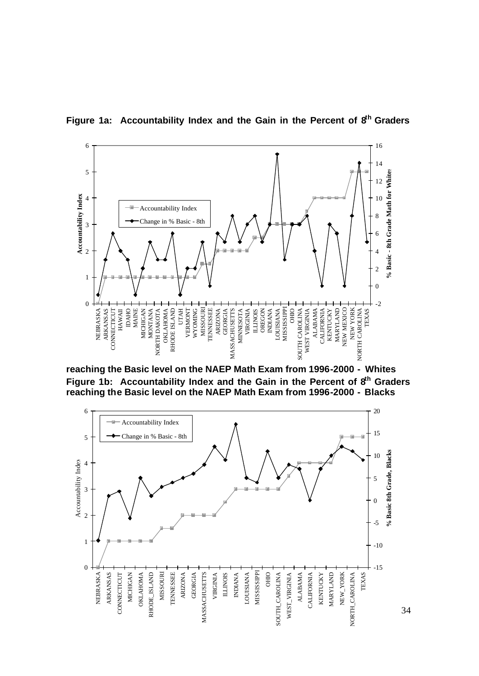

**Figure 1a: Accountability Index and the Gain in the Percent of 8th Graders** 

**reaching the Basic level on the NAEP Math Exam from 1996-2000 - Whites Figure 1b: Accountability Index and the Gain in the Percent of 8th Graders reaching the Basic level on the NAEP Math Exam from 1996-2000 - Blacks**

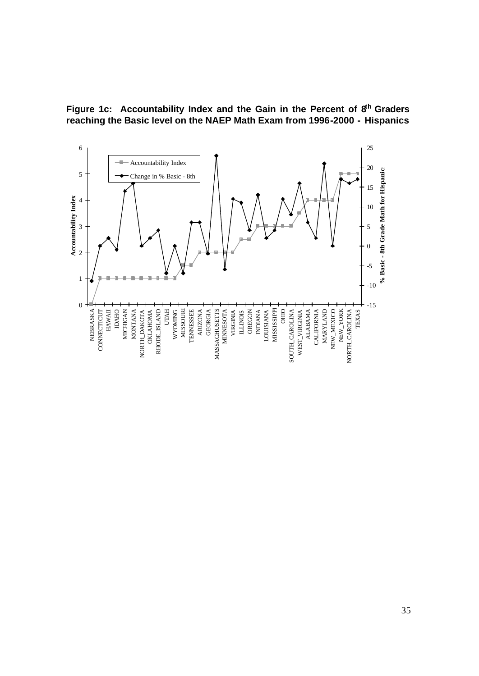

**Figure 1c: Accountability Index and the Gain in the Percent of 8th Graders reaching the Basic level on the NAEP Math Exam from 1996-2000 - Hispanics**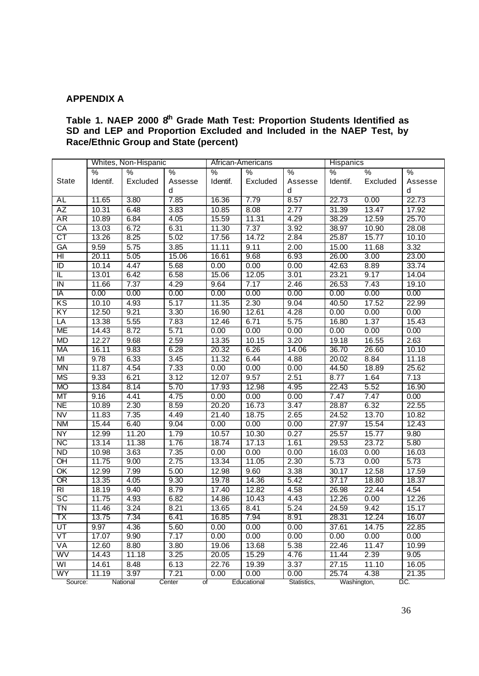### **APPENDIX A**

## **Table 1. NAEP 2000 8th Grade Math Test: Proportion Students Identified as SD and LEP and Proportion Excluded and Included in the NAEP Test, by Race/Ethnic Group and State (percent)**

|                         | Whites, Non-Hispanic |               | African-Americans |                    |             | <b>Hispanics</b> |               |          |               |
|-------------------------|----------------------|---------------|-------------------|--------------------|-------------|------------------|---------------|----------|---------------|
|                         | $\frac{8}{6}$        | $\frac{0}{0}$ | $\frac{1}{2}$     | $\frac{9}{6}$      | $\%$        | $\frac{8}{6}$    | $\frac{8}{6}$ | %        | $\frac{9}{6}$ |
| <b>State</b>            | Identif.             | Excluded      | Assesse           | Identif.           | Excluded    | Assesse          | Identif.      | Excluded | Assesse       |
|                         |                      |               | d                 |                    |             | d                |               |          | d             |
| <b>AL</b>               | 11.65                | 3.80          | 7.85              | 16.36              | 7.79        | 8.57             | 22.73         | 0.00     | 22.73         |
| AZ                      | 10.31                | 6.48          | 3.83              | 10.85              | 8.08        | 2.77             | 31.39         | 13.47    | 17.92         |
| <b>AR</b>               | 10.89                | 6.84          | 4.05              | 15.59              | 11.31       | 4.29             | 38.29         | 12.59    | 25.70         |
| $\overline{CA}$         | 13.03                | 6.72          | 6.31              | 11.30              | 7.37        | 3.92             | 38.97         | 10.90    | 28.08         |
| $\overline{\text{CT}}$  | 13.26                | 8.25          | 5.02              | 17.56              | 14.72       | 2.84             | 25.87         | 15.77    | 10.10         |
| <b>GA</b>               | 9.59                 | 5.75          | 3.85              | 11.11              | 9.11        | 2.00             | 15.00         | 11.68    | 3.32          |
| HI                      | 20.11                | 5.05          | 15.06             | 16.61              | 9.68        | 6.93             | 26.00         | 3.00     | 23.00         |
| ID                      | 10.14                | 4.47          | 5.68              | 0.00               | 0.00        | 0.00             | 42.63         | 8.89     | 33.74         |
| π                       | 13.01                | 6.42          | 6.58              | 15.06              | 12.05       | 3.01             | 23.21         | 9.17     | 14.04         |
| $\overline{\mathsf{N}}$ | 11.66                | 7.37          | 4.29              | 9.64               | 7.17        | 2.46             | 26.53         | 7.43     | 19.10         |
| IA                      | 0.00                 | 0.00          | 0.00              | 0.00               | 0.00        | 0.00             | 0.00          | 0.00     | 0.00          |
| $\overline{KS}$         | 10.10                | 4.93          | 5.17              | 11.35              | 2.30        | 9.04             | 40.50         | 17.52    | 22.99         |
| KY                      | 12.50                | 9.21          | 3.30              | 16.90              | 12.61       | 4.28             | 0.00          | 0.00     | 0.00          |
| LA                      | 13.38                | 5.55          | 7.83              | 12.46              | 6.71        | 5.75             | 16.80         | 1.37     | 15.43         |
| МE                      | 14.43                | 8.72          | 5.71              | 0.00               | 0.00        | 0.00             | 0.00          | 0.00     | 0.00          |
| <b>MD</b>               | 12.27                | 9.68          | 2.59              | 13.35              | 10.15       | 3.20             | 19.18         | 16.55    | 2.63          |
| МA                      | 16.11                | 9.83          | 6.28              | 20.32              | 6.26        | 14.06            | 36.70         | 26.60    | 10.10         |
| $\overline{\mathsf{M}}$ | 9.78                 | 6.33          | 3.45              | 11.32              | 6.44        | 4.88             | 20.02         | 8.84     | 11.18         |
| <b>MN</b>               | 11.87                | 4.54          | 7.33              | 0.00               | 0.00        | 0.00             | 44.50         | 18.89    | 25.62         |
| $\overline{\text{MS}}$  | 9.33                 | 6.21          | 3.12              | 12.07              | 9.57        | 2.51             | 8.77          | 1.64     | 7.13          |
| <b>MO</b>               | 13.84                | 8.14          | 5.70              | 17.93              | 12.98       | 4.95             | 22.43         | 5.52     | 16.90         |
| MT                      | 9.16                 | 4.41          | 4.75              | 0.00               | 0.00        | 0.00             | 7.47          | 7.47     | 0.00          |
| <b>NE</b>               | 10.89                | 2.30          | 8.59              | 20.20              | 16.73       | 3.47             | 28.87         | 6.32     | 22.55         |
| N <sub>V</sub>          | 11.83                | 7.35          | 4.49              | $\overline{21.40}$ | 18.75       | 2.65             | 24.52         | 13.70    | 10.82         |
| <b>NM</b>               | 15.44                | 6.40          | 9.04              | 0.00               | 0.00        | 0.00             | 27.97         | 15.54    | 12.43         |
| <b>NY</b>               | 12.99                | 11.20         | 1.79              | 10.57              | 10.30       | 0.27             | 25.57         | 15.77    | 9.80          |
| <b>NC</b>               | 13.14                | 11.38         | 1.76              | 18.74              | 17.13       | 1.61             | 29.53         | 23.72    | 5.80          |
| $\overline{ND}$         | 10.98                | 3.63          | 7.35              | 0.00               | 0.00        | 0.00             | 16.03         | 0.00     | 16.03         |
| OН                      | 11.75                | 9.00          | 2.75              | 13.34              | 11.05       | 2.30             | 5.73          | 0.00     | 5.73          |
| $\overline{\alpha}$     | 12.99                | 7.99          | 5.00              | 12.98              | 9.60        | 3.38             | 30.17         | 12.58    | 17.59         |
| OR                      | 13.35                | 4.05          | 9.30              | 19.78              | 14.36       | 5.42             | 37.17         | 18.80    | 18.37         |
| $\overline{R}$          | 18.19                | 9.40          | 8.79              | 17.40              | 12.82       | 4.58             | 26.98         | 22.44    | 4.54          |
| SC                      | 11.75                | 4.93          | 6.82              | 14.86              | 10.43       | 4.43             | 12.26         | 0.00     | 12.26         |
| <b>TN</b>               | 11.46                | 3.24          | 8.21              | 13.65              | 8.41        | 5.24             | 24.59         | 9.42     | 15.17         |
| TΧ                      | 13.75                | 7.34          | 6.41              | 16.85              | 7.94        | 8.91             | 28.31         | 12.24    | 16.07         |
| UT                      | 9.97                 | 4.36          | 5.60              | 0.00               | 0.00        | 0.00             | 37.61         | 14.75    | 22.85         |
| $\sqrt{T}$              | 17.07                | 9.90          | 7.17              | 0.00               | 0.00        | 0.00             | 0.00          | 0.00     | 0.00          |
| VA                      | 12.60                | 8.80          | 3.80              | 19.06              | 13.68       | 5.38             | 22.46         | 11.47    | 10.99         |
| <b>WV</b>               | 14.43                | 11.18         | 3.25              | 20.05              | 15.29       | 4.76             | 11.44         | 2.39     | 9.05          |
| WI                      | 14.61                | 8.48          | 6.13              | 22.76              | 19.39       | 3.37             | 27.15         | 11.10    | 16.05         |
| <b>WY</b>               | 11.19                | 3.97          | 7.21              | 0.00               | 0.00        | 0.00             | 25.74         | 4.38     | 21.35         |
| Source:                 |                      | National      | Center<br>of      |                    | Educational | Statistics,      | Washington,   |          | D.C.          |